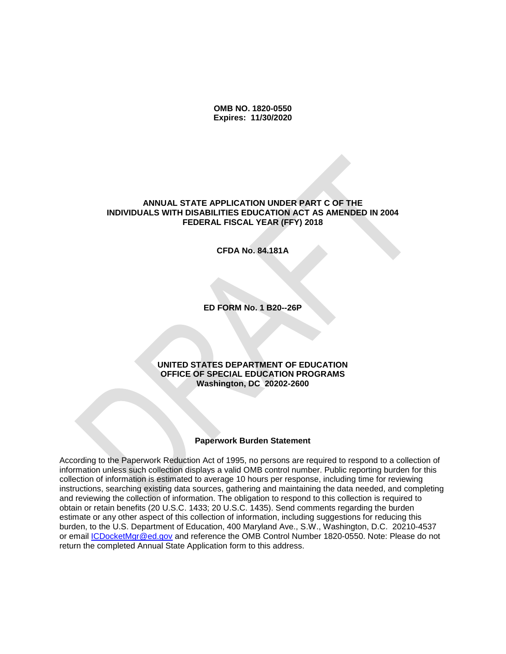**OMB NO. 1820-0550 Expires: 11/30/2020**

#### **ANNUAL STATE APPLICATION UNDER PART C OF THE INDIVIDUALS WITH DISABILITIES EDUCATION ACT AS AMENDED IN 2004 FEDERAL FISCAL YEAR (FFY) 2018**

**CFDA No. 84.181A**

**ED FORM No. 1 B20--26P**

#### **UNITED STATES DEPARTMENT OF EDUCATION OFFICE OF SPECIAL EDUCATION PROGRAMS Washington, DC 20202-2600**

#### **Paperwork Burden Statement**

According to the Paperwork Reduction Act of 1995, no persons are required to respond to a collection of information unless such collection displays a valid OMB control number. Public reporting burden for this collection of information is estimated to average 10 hours per response, including time for reviewing instructions, searching existing data sources, gathering and maintaining the data needed, and completing and reviewing the collection of information. The obligation to respond to this collection is required to obtain or retain benefits (20 U.S.C. 1433; 20 U.S.C. 1435). Send comments regarding the burden estimate or any other aspect of this collection of information, including suggestions for reducing this burden, to the U.S. Department of Education, 400 Maryland Ave., S.W., Washington, D.C. 20210-4537 or email [ICDocketMgr@ed.gov](mailto:ICDocketMgr@ed.gov) and reference the OMB Control Number 1820-0550. Note: Please do not return the completed Annual State Application form to this address.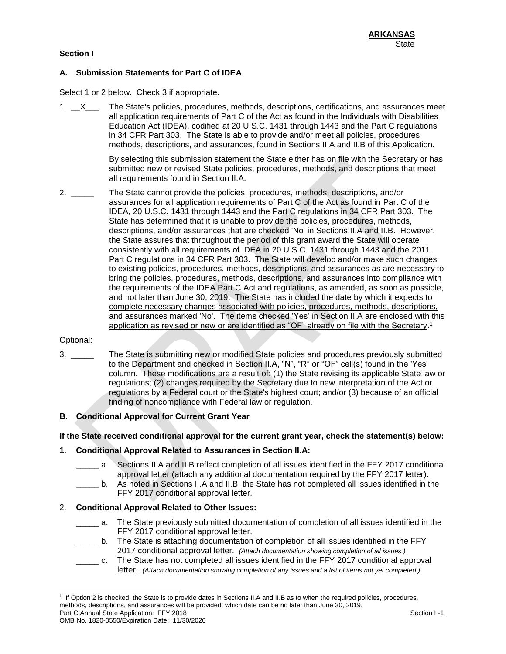### **Section I**

# **A. Submission Statements for Part C of IDEA**

Select 1 or 2 below. Check 3 if appropriate.

1.  $X$  The State's policies, procedures, methods, descriptions, certifications, and assurances meet all application requirements of Part C of the Act as found in the Individuals with Disabilities Education Act (IDEA), codified at 20 U.S.C. 1431 through 1443 and the Part C regulations in 34 CFR Part 303. The State is able to provide and/or meet all policies, procedures, methods, descriptions, and assurances, found in Sections II.A and II.B of this Application.

> By selecting this submission statement the State either has on file with the Secretary or has submitted new or revised State policies, procedures, methods, and descriptions that meet all requirements found in Section II.A.

2. \_\_\_\_\_ The State cannot provide the policies, procedures, methods, descriptions, and/or assurances for all application requirements of Part C of the Act as found in Part C of the IDEA, 20 U.S.C. 1431 through 1443 and the Part C regulations in 34 CFR Part 303. The State has determined that it is unable to provide the policies, procedures, methods, descriptions, and/or assurances that are checked 'No' in Sections II.A and II.B. However, the State assures that throughout the period of this grant award the State will operate consistently with all requirements of IDEA in 20 U.S.C. 1431 through 1443 and the 2011 Part C regulations in 34 CFR Part 303. The State will develop and/or make such changes to existing policies, procedures, methods, descriptions, and assurances as are necessary to bring the policies, procedures, methods, descriptions, and assurances into compliance with the requirements of the IDEA Part C Act and regulations, as amended, as soon as possible, and not later than June 30, 2019. The State has included the date by which it expects to complete necessary changes associated with policies, procedures, methods, descriptions, and assurances marked 'No'. The items checked 'Yes' in Section II.A are enclosed with this application as revised or new or are identified as "OF" already on file with the Secretary.<sup>1</sup>

#### Optional:

3. \_\_\_\_\_ The State is submitting new or modified State policies and procedures previously submitted to the Department and checked in Section II.A, "N", "R" or "OF" cell(s) found in the 'Yes' column. These modifications are a result of: (1) the State revising its applicable State law or regulations; (2) changes required by the Secretary due to new interpretation of the Act or regulations by a Federal court or the State's highest court; and/or (3) because of an official finding of noncompliance with Federal law or regulation.

#### **B. Conditional Approval for Current Grant Year**

### **If the State received conditional approval for the current grant year, check the statement(s) below:**

#### **1. Conditional Approval Related to Assurances in Section II.A:**

- \_\_\_\_\_ a. Sections II.A and II.B reflect completion of all issues identified in the FFY 2017 conditional approval letter (attach any additional documentation required by the FFY 2017 letter).
- \_\_\_\_\_ b. As noted in Sections II.A and II.B, the State has not completed all issues identified in the FFY 2017 conditional approval letter.

#### 2. **Conditional Approval Related to Other Issues:**

- \_\_\_\_\_ a. The State previously submitted documentation of completion of all issues identified in the FFY 2017 conditional approval letter.
- \_\_\_\_\_ b. The State is attaching documentation of completion of all issues identified in the FFY 2017 conditional approval letter. *(Attach documentation showing completion of all issues.)*
- \_\_\_\_\_ c. The State has not completed all issues identified in the FFY 2017 conditional approval letter. *(Attach documentation showing completion of any issues and a list of items not yet completed.)*

Part C Annual State Application: FFY 2018 Section I -1 l 1 If Option 2 is checked, the State is to provide dates in Sections II.A and II.B as to when the required policies, procedures, methods, descriptions, and assurances will be provided, which date can be no later than June 30, 2019.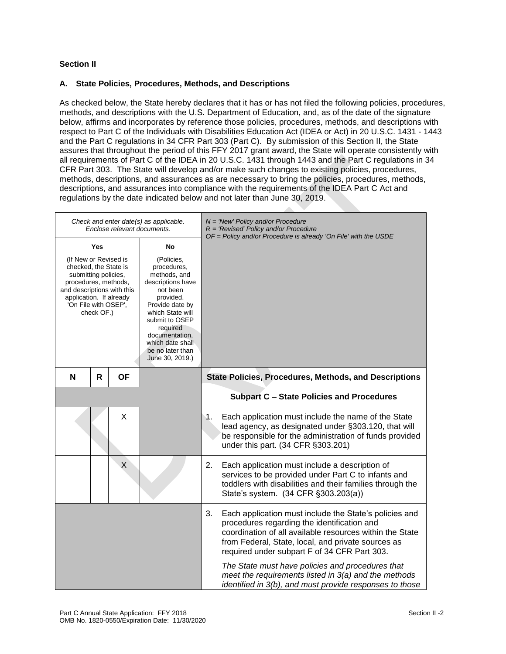# **Section II**

# **A. State Policies, Procedures, Methods, and Descriptions**

As checked below, the State hereby declares that it has or has not filed the following policies, procedures, methods, and descriptions with the U.S. Department of Education, and, as of the date of the signature below, affirms and incorporates by reference those policies, procedures, methods, and descriptions with respect to Part C of the Individuals with Disabilities Education Act (IDEA or Act) in 20 U.S.C. 1431 - 1443 and the Part C regulations in 34 CFR Part 303 (Part C). By submission of this Section II, the State assures that throughout the period of this FFY 2017 grant award, the State will operate consistently with all requirements of Part C of the IDEA in 20 U.S.C. 1431 through 1443 and the Part C regulations in 34 CFR Part 303. The State will develop and/or make such changes to existing policies, procedures, methods, descriptions, and assurances as are necessary to bring the policies, procedures, methods, descriptions, and assurances into compliance with the requirements of the IDEA Part C Act and regulations by the date indicated below and not later than June 30, 2019.

 $\mathcal{L}_{\mathcal{M}}$ 

|                                                                                                                                                                                                                                                                                                                                                                                                                                                                |              | Enclose relevant documents. | Check and enter date(s) as applicable. | $N = 'New' Policy and/or Procedure$<br>$R = 'Revised' Policy and/or Procedure$<br>$OF = Policy$ and/or Procedure is already 'On File' with the USDE                                                                                                                                                                                                                                                                                                  |
|----------------------------------------------------------------------------------------------------------------------------------------------------------------------------------------------------------------------------------------------------------------------------------------------------------------------------------------------------------------------------------------------------------------------------------------------------------------|--------------|-----------------------------|----------------------------------------|------------------------------------------------------------------------------------------------------------------------------------------------------------------------------------------------------------------------------------------------------------------------------------------------------------------------------------------------------------------------------------------------------------------------------------------------------|
| <b>Yes</b><br>No<br>(If New or Revised is<br>(Policies,<br>checked, the State is<br>procedures,<br>submitting policies,<br>methods, and<br>procedures, methods,<br>descriptions have<br>and descriptions with this<br>not been<br>application. If already<br>provided.<br>'On File with OSEP',<br>Provide date by<br>check OF.)<br>which State will<br>submit to OSEP<br>required<br>documentation,<br>which date shall<br>be no later than<br>June 30, 2019.) |              |                             |                                        |                                                                                                                                                                                                                                                                                                                                                                                                                                                      |
| N                                                                                                                                                                                                                                                                                                                                                                                                                                                              | $\mathsf{R}$ | <b>OF</b>                   |                                        | <b>State Policies, Procedures, Methods, and Descriptions</b>                                                                                                                                                                                                                                                                                                                                                                                         |
|                                                                                                                                                                                                                                                                                                                                                                                                                                                                |              |                             |                                        | <b>Subpart C - State Policies and Procedures</b>                                                                                                                                                                                                                                                                                                                                                                                                     |
|                                                                                                                                                                                                                                                                                                                                                                                                                                                                |              | X                           |                                        | Each application must include the name of the State<br>1.<br>lead agency, as designated under §303.120, that will<br>be responsible for the administration of funds provided<br>under this part. (34 CFR §303.201)                                                                                                                                                                                                                                   |
|                                                                                                                                                                                                                                                                                                                                                                                                                                                                |              | X                           |                                        | 2.<br>Each application must include a description of<br>services to be provided under Part C to infants and<br>toddlers with disabilities and their families through the<br>State's system. (34 CFR §303.203(a))                                                                                                                                                                                                                                     |
|                                                                                                                                                                                                                                                                                                                                                                                                                                                                |              |                             |                                        | Each application must include the State's policies and<br>3.<br>procedures regarding the identification and<br>coordination of all available resources within the State<br>from Federal, State, local, and private sources as<br>required under subpart F of 34 CFR Part 303.<br>The State must have policies and procedures that<br>meet the requirements listed in 3(a) and the methods<br>identified in 3(b), and must provide responses to those |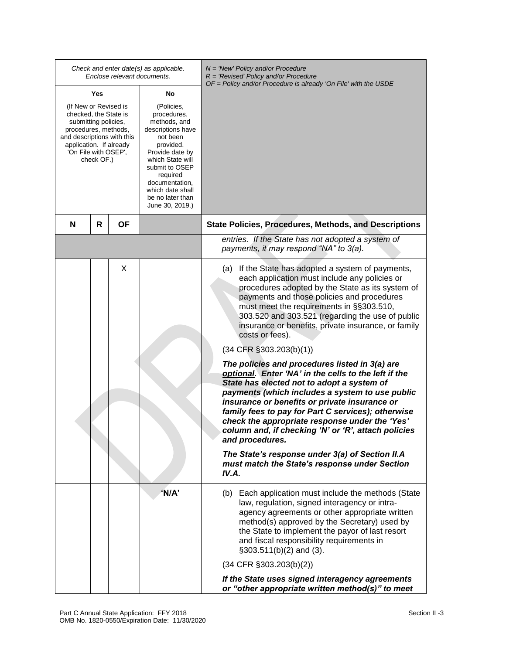| Check and enter date(s) as applicable.<br>Enclose relevant documents.                                                                                                                                                                                                                        |   |                                                                                                                                                         |       | $N =$ 'New' Policy and/or Procedure<br>$R = 'Revised' Policy and/or Procedure$                                                                                                                                                                                                                                                                                                                                                                                                                                                                                                                                                                                                                                                                                                                                                                                                                                                                                                 |
|----------------------------------------------------------------------------------------------------------------------------------------------------------------------------------------------------------------------------------------------------------------------------------------------|---|---------------------------------------------------------------------------------------------------------------------------------------------------------|-------|--------------------------------------------------------------------------------------------------------------------------------------------------------------------------------------------------------------------------------------------------------------------------------------------------------------------------------------------------------------------------------------------------------------------------------------------------------------------------------------------------------------------------------------------------------------------------------------------------------------------------------------------------------------------------------------------------------------------------------------------------------------------------------------------------------------------------------------------------------------------------------------------------------------------------------------------------------------------------------|
|                                                                                                                                                                                                                                                                                              |   |                                                                                                                                                         |       | OF = Policy and/or Procedure is already 'On File' with the USDE                                                                                                                                                                                                                                                                                                                                                                                                                                                                                                                                                                                                                                                                                                                                                                                                                                                                                                                |
| Yes<br>No<br>(If New or Revised is<br>(Policies,<br>checked, the State is<br>procedures,<br>submitting policies,<br>methods, and<br>procedures, methods,<br>and descriptions with this<br>not been<br>application. If already<br>provided.<br>'On File with OSEP',<br>check OF.)<br>required |   | descriptions have<br>Provide date by<br>which State will<br>submit to OSEP<br>documentation,<br>which date shall<br>be no later than<br>June 30, 2019.) |       |                                                                                                                                                                                                                                                                                                                                                                                                                                                                                                                                                                                                                                                                                                                                                                                                                                                                                                                                                                                |
| N                                                                                                                                                                                                                                                                                            | R | <b>OF</b>                                                                                                                                               |       | <b>State Policies, Procedures, Methods, and Descriptions</b>                                                                                                                                                                                                                                                                                                                                                                                                                                                                                                                                                                                                                                                                                                                                                                                                                                                                                                                   |
|                                                                                                                                                                                                                                                                                              |   |                                                                                                                                                         |       | entries. If the State has not adopted a system of<br>payments, it may respond "NA" to 3(a).                                                                                                                                                                                                                                                                                                                                                                                                                                                                                                                                                                                                                                                                                                                                                                                                                                                                                    |
|                                                                                                                                                                                                                                                                                              |   | X                                                                                                                                                       |       | If the State has adopted a system of payments,<br>(a)<br>each application must include any policies or<br>procedures adopted by the State as its system of<br>payments and those policies and procedures<br>must meet the requirements in §§303.510,<br>303.520 and 303.521 (regarding the use of public<br>insurance or benefits, private insurance, or family<br>costs or fees).<br>$(34$ CFR $\S 303.203(b)(1))$<br>The policies and procedures listed in 3(a) are<br>optional. Enter 'NA' in the cells to the left if the<br>State has elected not to adopt a system of<br>payments (which includes a system to use public<br>insurance or benefits or private insurance or<br>family fees to pay for Part C services); otherwise<br>check the appropriate response under the 'Yes'<br>column and, if checking 'N' or 'R', attach policies<br>and procedures.<br>The State's response under 3(a) of Section II.A<br>must match the State's response under Section<br>IV.A. |
|                                                                                                                                                                                                                                                                                              |   |                                                                                                                                                         | 'N/A' | (b) Each application must include the methods (State<br>law, regulation, signed interagency or intra-<br>agency agreements or other appropriate written<br>method(s) approved by the Secretary) used by<br>the State to implement the payor of last resort<br>and fiscal responsibility requirements in<br>$\S303.511(b)(2)$ and (3).                                                                                                                                                                                                                                                                                                                                                                                                                                                                                                                                                                                                                                          |
|                                                                                                                                                                                                                                                                                              |   |                                                                                                                                                         |       | $(34$ CFR $\S 303.203(b)(2))$                                                                                                                                                                                                                                                                                                                                                                                                                                                                                                                                                                                                                                                                                                                                                                                                                                                                                                                                                  |
|                                                                                                                                                                                                                                                                                              |   |                                                                                                                                                         |       | If the State uses signed interagency agreements<br>or "other appropriate written method(s)" to meet                                                                                                                                                                                                                                                                                                                                                                                                                                                                                                                                                                                                                                                                                                                                                                                                                                                                            |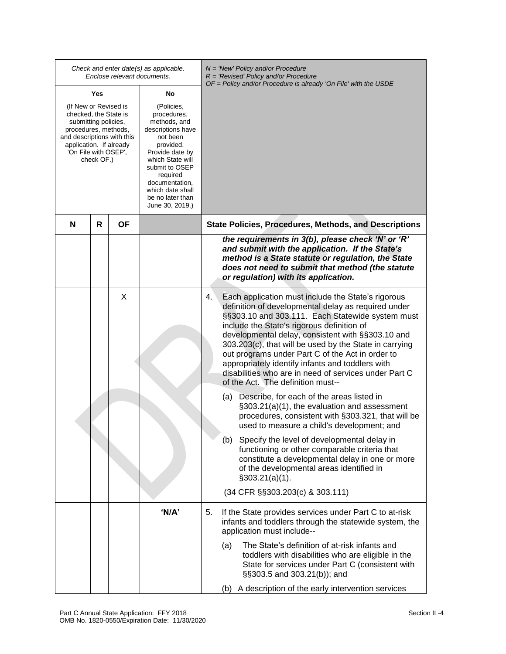| Check and enter date(s) as applicable.<br>Enclose relevant documents.                                                                                                                         |     |    |                                                                                                                                                                                                                                           |    |     | $N =$ 'New' Policy and/or Procedure<br>$R = 'Revised' Policy and/or Procedure$<br>OF = Policy and/or Procedure is already 'On File' with the USDE                                                                                                                                                                                                                                                                                                                                                                                |
|-----------------------------------------------------------------------------------------------------------------------------------------------------------------------------------------------|-----|----|-------------------------------------------------------------------------------------------------------------------------------------------------------------------------------------------------------------------------------------------|----|-----|----------------------------------------------------------------------------------------------------------------------------------------------------------------------------------------------------------------------------------------------------------------------------------------------------------------------------------------------------------------------------------------------------------------------------------------------------------------------------------------------------------------------------------|
|                                                                                                                                                                                               | Yes |    | No                                                                                                                                                                                                                                        |    |     |                                                                                                                                                                                                                                                                                                                                                                                                                                                                                                                                  |
| (If New or Revised is<br>checked, the State is<br>submitting policies,<br>procedures, methods,<br>and descriptions with this<br>application. If already<br>'On File with OSEP',<br>check OF.) |     |    | (Policies,<br>procedures,<br>methods, and<br>descriptions have<br>not been<br>provided.<br>Provide date by<br>which State will<br>submit to OSEP<br>required<br>documentation,<br>which date shall<br>be no later than<br>June 30, 2019.) |    |     |                                                                                                                                                                                                                                                                                                                                                                                                                                                                                                                                  |
| N                                                                                                                                                                                             | R   | ΟF |                                                                                                                                                                                                                                           |    |     | <b>State Policies, Procedures, Methods, and Descriptions</b>                                                                                                                                                                                                                                                                                                                                                                                                                                                                     |
|                                                                                                                                                                                               |     |    |                                                                                                                                                                                                                                           |    |     | the requirements in 3(b), please check 'N' or 'R'<br>and submit with the application. If the State's<br>method is a State statute or regulation, the State<br>does not need to submit that method (the statute<br>or regulation) with its application.                                                                                                                                                                                                                                                                           |
|                                                                                                                                                                                               |     | X  |                                                                                                                                                                                                                                           | 4. |     | Each application must include the State's rigorous<br>definition of developmental delay as required under<br>§§303.10 and 303.111. Each Statewide system must<br>include the State's rigorous definition of<br>developmental delay, consistent with §§303.10 and<br>303.203(c), that will be used by the State in carrying<br>out programs under Part C of the Act in order to<br>appropriately identify infants and toddlers with<br>disabilities who are in need of services under Part C<br>of the Act. The definition must-- |
|                                                                                                                                                                                               |     |    |                                                                                                                                                                                                                                           |    | (a) | Describe, for each of the areas listed in<br>§303.21(a)(1), the evaluation and assessment<br>procedures, consistent with §303.321, that will be<br>used to measure a child's development; and                                                                                                                                                                                                                                                                                                                                    |
|                                                                                                                                                                                               |     |    |                                                                                                                                                                                                                                           |    |     | (b) Specify the level of developmental delay in<br>functioning or other comparable criteria that<br>constitute a developmental delay in one or more<br>of the developmental areas identified in<br>$\S303.21(a)(1)$ .                                                                                                                                                                                                                                                                                                            |
|                                                                                                                                                                                               |     |    |                                                                                                                                                                                                                                           |    |     | (34 CFR §§303.203(c) & 303.111)                                                                                                                                                                                                                                                                                                                                                                                                                                                                                                  |
|                                                                                                                                                                                               |     |    | 'N/A'                                                                                                                                                                                                                                     | 5. |     | If the State provides services under Part C to at-risk<br>infants and toddlers through the statewide system, the<br>application must include--                                                                                                                                                                                                                                                                                                                                                                                   |
|                                                                                                                                                                                               |     |    |                                                                                                                                                                                                                                           |    | (a) | The State's definition of at-risk infants and<br>toddlers with disabilities who are eligible in the<br>State for services under Part C (consistent with<br>§§303.5 and 303.21(b)); and                                                                                                                                                                                                                                                                                                                                           |
|                                                                                                                                                                                               |     |    |                                                                                                                                                                                                                                           |    |     | (b) A description of the early intervention services                                                                                                                                                                                                                                                                                                                                                                                                                                                                             |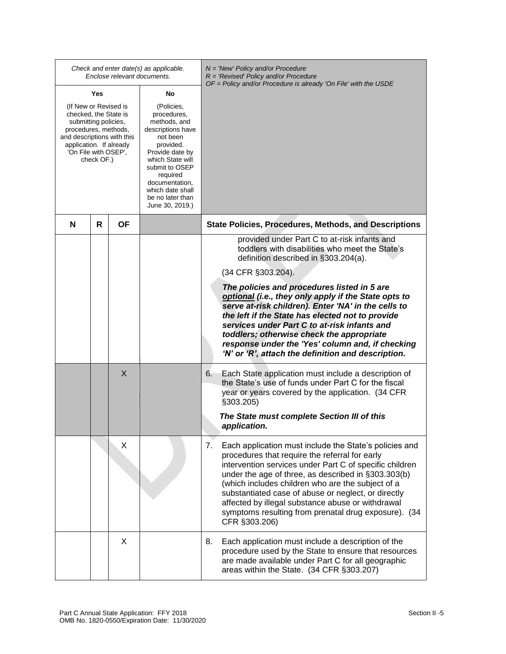|                                                                                                                                                                                               |     |                                                                                                                                                                                                                                           | Check and enter date(s) as applicable.<br>Enclose relevant documents. | $N =$ 'New' Policy and/or Procedure<br>$R = 'Revised' Policy and/or Procedure$                                                                                                                                                                                                                                                                                                                                                                                                                                                                                                         |
|-----------------------------------------------------------------------------------------------------------------------------------------------------------------------------------------------|-----|-------------------------------------------------------------------------------------------------------------------------------------------------------------------------------------------------------------------------------------------|-----------------------------------------------------------------------|----------------------------------------------------------------------------------------------------------------------------------------------------------------------------------------------------------------------------------------------------------------------------------------------------------------------------------------------------------------------------------------------------------------------------------------------------------------------------------------------------------------------------------------------------------------------------------------|
|                                                                                                                                                                                               | Yes |                                                                                                                                                                                                                                           | No                                                                    | $OF = Policy$ and/or Procedure is already 'On File' with the USDE                                                                                                                                                                                                                                                                                                                                                                                                                                                                                                                      |
| (If New or Revised is<br>checked, the State is<br>submitting policies,<br>procedures, methods,<br>and descriptions with this<br>application. If already<br>'On File with OSEP',<br>check OF.) |     | (Policies,<br>procedures,<br>methods, and<br>descriptions have<br>not been<br>provided.<br>Provide date by<br>which State will<br>submit to OSEP<br>required<br>documentation,<br>which date shall<br>be no later than<br>June 30, 2019.) |                                                                       |                                                                                                                                                                                                                                                                                                                                                                                                                                                                                                                                                                                        |
| N                                                                                                                                                                                             | R   | <b>OF</b>                                                                                                                                                                                                                                 |                                                                       | <b>State Policies, Procedures, Methods, and Descriptions</b>                                                                                                                                                                                                                                                                                                                                                                                                                                                                                                                           |
|                                                                                                                                                                                               |     |                                                                                                                                                                                                                                           |                                                                       | provided under Part C to at-risk infants and<br>toddlers with disabilities who meet the State's<br>definition described in §303.204(a).<br>(34 CFR §303.204).<br>The policies and procedures listed in 5 are<br>optional (i.e., they only apply if the State opts to<br>serve at-risk children). Enter 'NA' in the cells to<br>the left if the State has elected not to provide<br>services under Part C to at-risk infants and<br>toddlers; otherwise check the appropriate<br>response under the 'Yes' column and, if checking<br>'N' or 'R', attach the definition and description. |
|                                                                                                                                                                                               |     | X                                                                                                                                                                                                                                         |                                                                       | Each State application must include a description of<br>6.<br>the State's use of funds under Part C for the fiscal<br>year or years covered by the application. (34 CFR<br>§303.205)<br>The State must complete Section III of this                                                                                                                                                                                                                                                                                                                                                    |
|                                                                                                                                                                                               |     |                                                                                                                                                                                                                                           |                                                                       | application.                                                                                                                                                                                                                                                                                                                                                                                                                                                                                                                                                                           |
|                                                                                                                                                                                               |     | X                                                                                                                                                                                                                                         |                                                                       | 7.<br>Each application must include the State's policies and<br>procedures that require the referral for early<br>intervention services under Part C of specific children<br>under the age of three, as described in §303.303(b)<br>(which includes children who are the subject of a<br>substantiated case of abuse or neglect, or directly<br>affected by illegal substance abuse or withdrawal<br>symptoms resulting from prenatal drug exposure). (34<br>CFR §303.206)                                                                                                             |
|                                                                                                                                                                                               |     | X                                                                                                                                                                                                                                         |                                                                       | 8.<br>Each application must include a description of the<br>procedure used by the State to ensure that resources<br>are made available under Part C for all geographic<br>areas within the State. (34 CFR §303.207)                                                                                                                                                                                                                                                                                                                                                                    |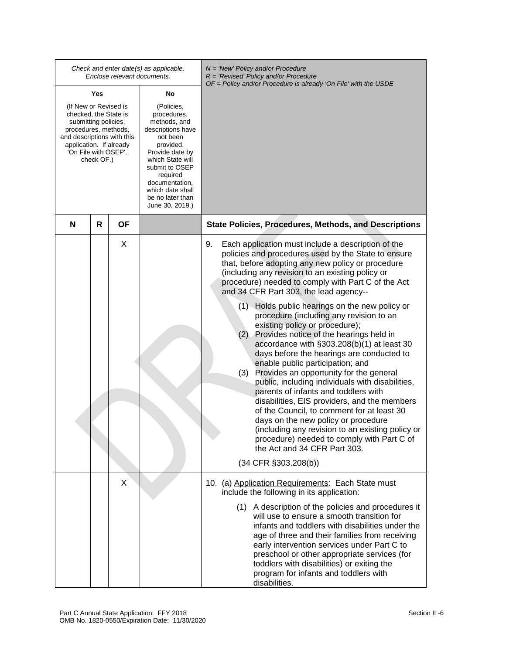|                                                                                                                                                                                               |     |           | Check and enter date(s) as applicable.<br>Enclose relevant documents.                                                                                                                                                                     | $N =$ 'New' Policy and/or Procedure<br>$R = 'Revised' Policy and/or Procedure$                                                                                                                                                                                                                                                                                                                                                                                                                                                                                                                                                                                                                                                                                                                                                                                                                                                                                                                                                                                                              |
|-----------------------------------------------------------------------------------------------------------------------------------------------------------------------------------------------|-----|-----------|-------------------------------------------------------------------------------------------------------------------------------------------------------------------------------------------------------------------------------------------|---------------------------------------------------------------------------------------------------------------------------------------------------------------------------------------------------------------------------------------------------------------------------------------------------------------------------------------------------------------------------------------------------------------------------------------------------------------------------------------------------------------------------------------------------------------------------------------------------------------------------------------------------------------------------------------------------------------------------------------------------------------------------------------------------------------------------------------------------------------------------------------------------------------------------------------------------------------------------------------------------------------------------------------------------------------------------------------------|
|                                                                                                                                                                                               | Yes |           | No                                                                                                                                                                                                                                        | OF = Policy and/or Procedure is already 'On File' with the USDE                                                                                                                                                                                                                                                                                                                                                                                                                                                                                                                                                                                                                                                                                                                                                                                                                                                                                                                                                                                                                             |
| (If New or Revised is<br>checked, the State is<br>submitting policies,<br>procedures, methods,<br>and descriptions with this<br>application. If already<br>'On File with OSEP',<br>check OF.) |     |           | (Policies,<br>procedures,<br>methods, and<br>descriptions have<br>not been<br>provided.<br>Provide date by<br>which State will<br>submit to OSEP<br>required<br>documentation,<br>which date shall<br>be no later than<br>June 30, 2019.) |                                                                                                                                                                                                                                                                                                                                                                                                                                                                                                                                                                                                                                                                                                                                                                                                                                                                                                                                                                                                                                                                                             |
| N                                                                                                                                                                                             | R   | <b>OF</b> |                                                                                                                                                                                                                                           | <b>State Policies, Procedures, Methods, and Descriptions</b>                                                                                                                                                                                                                                                                                                                                                                                                                                                                                                                                                                                                                                                                                                                                                                                                                                                                                                                                                                                                                                |
|                                                                                                                                                                                               |     | X         |                                                                                                                                                                                                                                           | Each application must include a description of the<br>9.<br>policies and procedures used by the State to ensure<br>that, before adopting any new policy or procedure<br>(including any revision to an existing policy or<br>procedure) needed to comply with Part C of the Act<br>and 34 CFR Part 303, the lead agency--<br>(1) Holds public hearings on the new policy or<br>procedure (including any revision to an<br>existing policy or procedure);<br>Provides notice of the hearings held in<br>(2)<br>accordance with §303.208(b)(1) at least 30<br>days before the hearings are conducted to<br>enable public participation; and<br>Provides an opportunity for the general<br>(3)<br>public, including individuals with disabilities,<br>parents of infants and toddlers with<br>disabilities, EIS providers, and the members<br>of the Council, to comment for at least 30<br>days on the new policy or procedure<br>(including any revision to an existing policy or<br>procedure) needed to comply with Part C of<br>the Act and 34 CFR Part 303.<br>$(34$ CFR $\S 303.208(b))$ |
|                                                                                                                                                                                               |     | X         |                                                                                                                                                                                                                                           | 10. (a) Application Requirements: Each State must<br>include the following in its application:<br>(1) A description of the policies and procedures it<br>will use to ensure a smooth transition for<br>infants and toddlers with disabilities under the<br>age of three and their families from receiving<br>early intervention services under Part C to<br>preschool or other appropriate services (for<br>toddlers with disabilities) or exiting the<br>program for infants and toddlers with<br>disabilities.                                                                                                                                                                                                                                                                                                                                                                                                                                                                                                                                                                            |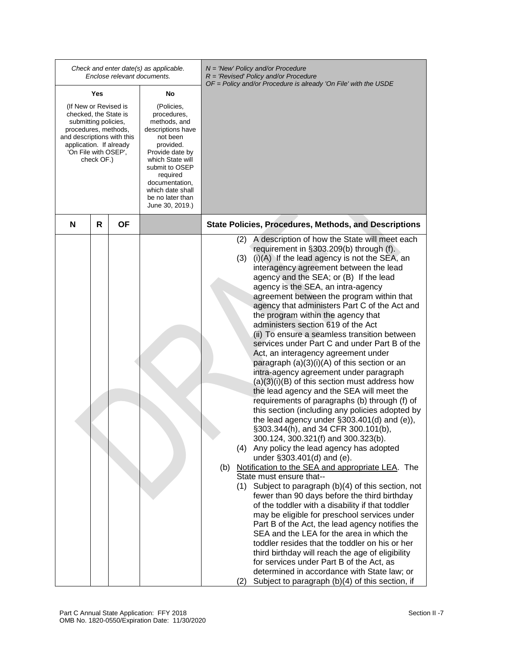|                                                                                                                                                                                               |     | Enclose relevant documents. | Check and enter date(s) as applicable.                                                                                                                                                                                                    | $N =$ 'New' Policy and/or Procedure<br>$R = 'Revised' Policy and/or Procedure$<br>$OF = Policy$ and/or Procedure is already 'On File' with the USDE                                                                                                                                                                                                                                                                                                                                                                                                                                                                                                                                                                                                                                                                                                                                                                                                                                                                                                                                                                                                                                                                                                                                                                                                                                                                                                                                                                                                                                                                                                                                                                                                                                  |  |
|-----------------------------------------------------------------------------------------------------------------------------------------------------------------------------------------------|-----|-----------------------------|-------------------------------------------------------------------------------------------------------------------------------------------------------------------------------------------------------------------------------------------|--------------------------------------------------------------------------------------------------------------------------------------------------------------------------------------------------------------------------------------------------------------------------------------------------------------------------------------------------------------------------------------------------------------------------------------------------------------------------------------------------------------------------------------------------------------------------------------------------------------------------------------------------------------------------------------------------------------------------------------------------------------------------------------------------------------------------------------------------------------------------------------------------------------------------------------------------------------------------------------------------------------------------------------------------------------------------------------------------------------------------------------------------------------------------------------------------------------------------------------------------------------------------------------------------------------------------------------------------------------------------------------------------------------------------------------------------------------------------------------------------------------------------------------------------------------------------------------------------------------------------------------------------------------------------------------------------------------------------------------------------------------------------------------|--|
|                                                                                                                                                                                               | Yes |                             | No                                                                                                                                                                                                                                        |                                                                                                                                                                                                                                                                                                                                                                                                                                                                                                                                                                                                                                                                                                                                                                                                                                                                                                                                                                                                                                                                                                                                                                                                                                                                                                                                                                                                                                                                                                                                                                                                                                                                                                                                                                                      |  |
| (If New or Revised is<br>checked, the State is<br>submitting policies,<br>procedures, methods,<br>and descriptions with this<br>application. If already<br>'On File with OSEP',<br>check OF.) |     |                             | (Policies,<br>procedures,<br>methods, and<br>descriptions have<br>not been<br>provided.<br>Provide date by<br>which State will<br>submit to OSEP<br>required<br>documentation,<br>which date shall<br>be no later than<br>June 30, 2019.) |                                                                                                                                                                                                                                                                                                                                                                                                                                                                                                                                                                                                                                                                                                                                                                                                                                                                                                                                                                                                                                                                                                                                                                                                                                                                                                                                                                                                                                                                                                                                                                                                                                                                                                                                                                                      |  |
| N                                                                                                                                                                                             | R   | ΟF                          |                                                                                                                                                                                                                                           | <b>State Policies, Procedures, Methods, and Descriptions</b>                                                                                                                                                                                                                                                                                                                                                                                                                                                                                                                                                                                                                                                                                                                                                                                                                                                                                                                                                                                                                                                                                                                                                                                                                                                                                                                                                                                                                                                                                                                                                                                                                                                                                                                         |  |
|                                                                                                                                                                                               |     |                             |                                                                                                                                                                                                                                           | A description of how the State will meet each<br>(2)<br>requirement in §303.209(b) through (f).<br>(3)<br>$(i)(A)$ If the lead agency is not the SEA, an<br>interagency agreement between the lead<br>agency and the SEA; or (B) If the lead<br>agency is the SEA, an intra-agency<br>agreement between the program within that<br>agency that administers Part C of the Act and<br>the program within the agency that<br>administers section 619 of the Act<br>(ii) To ensure a seamless transition between<br>services under Part C and under Part B of the<br>Act, an interagency agreement under<br>paragraph $(a)(3)(i)(A)$ of this section or an<br>intra-agency agreement under paragraph<br>$(a)(3)(i)(B)$ of this section must address how<br>the lead agency and the SEA will meet the<br>requirements of paragraphs (b) through (f) of<br>this section (including any policies adopted by<br>the lead agency under $\S303.401(d)$ and (e)),<br>§303.344(h), and 34 CFR 300.101(b),<br>300.124, 300.321(f) and 300.323(b).<br>Any policy the lead agency has adopted<br>(4)<br>under §303.401(d) and (e).<br>Notification to the SEA and appropriate LEA. The<br>(b)<br>State must ensure that--<br>Subject to paragraph (b)(4) of this section, not<br>(1)<br>fewer than 90 days before the third birthday<br>of the toddler with a disability if that toddler<br>may be eligible for preschool services under<br>Part B of the Act, the lead agency notifies the<br>SEA and the LEA for the area in which the<br>toddler resides that the toddler on his or her<br>third birthday will reach the age of eligibility<br>for services under Part B of the Act, as<br>determined in accordance with State law; or<br>Subject to paragraph (b)(4) of this section, if<br>(2) |  |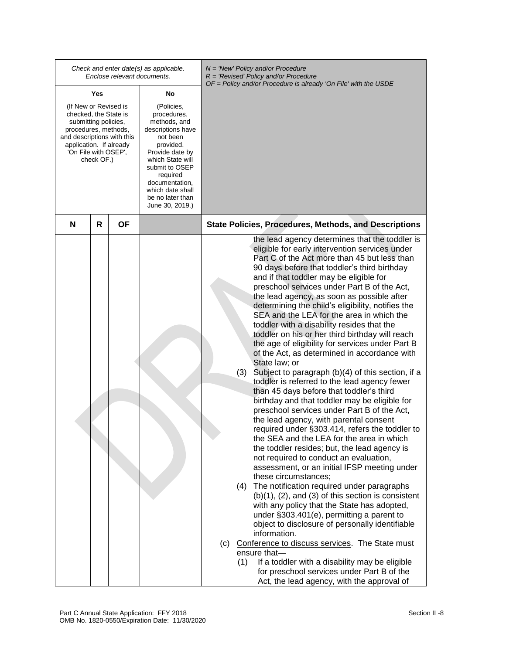|                                                                                                                                                                                               |     |           | Check and enter date(s) as applicable.<br>Enclose relevant documents.                                                                                                                                                                     | $N =$ 'New' Policy and/or Procedure<br>$R = 'Revised' Policy and/or Procedure$                                                                                                                                                                                                                                                                                                                                                                                                                                                                                                                                                                                                                                                                                                                                                                                                                                                                                                                                                                                                                                                                                                                                                                                                                                                                                                                                                                                                                                                                                                                                                                                                                                                                   |
|-----------------------------------------------------------------------------------------------------------------------------------------------------------------------------------------------|-----|-----------|-------------------------------------------------------------------------------------------------------------------------------------------------------------------------------------------------------------------------------------------|--------------------------------------------------------------------------------------------------------------------------------------------------------------------------------------------------------------------------------------------------------------------------------------------------------------------------------------------------------------------------------------------------------------------------------------------------------------------------------------------------------------------------------------------------------------------------------------------------------------------------------------------------------------------------------------------------------------------------------------------------------------------------------------------------------------------------------------------------------------------------------------------------------------------------------------------------------------------------------------------------------------------------------------------------------------------------------------------------------------------------------------------------------------------------------------------------------------------------------------------------------------------------------------------------------------------------------------------------------------------------------------------------------------------------------------------------------------------------------------------------------------------------------------------------------------------------------------------------------------------------------------------------------------------------------------------------------------------------------------------------|
|                                                                                                                                                                                               | Yes |           | No                                                                                                                                                                                                                                        | OF = Policy and/or Procedure is already 'On File' with the USDE                                                                                                                                                                                                                                                                                                                                                                                                                                                                                                                                                                                                                                                                                                                                                                                                                                                                                                                                                                                                                                                                                                                                                                                                                                                                                                                                                                                                                                                                                                                                                                                                                                                                                  |
| (If New or Revised is<br>checked, the State is<br>submitting policies,<br>procedures, methods,<br>and descriptions with this<br>application. If already<br>'On File with OSEP',<br>check OF.) |     |           | (Policies,<br>procedures,<br>methods, and<br>descriptions have<br>not been<br>provided.<br>Provide date by<br>which State will<br>submit to OSEP<br>required<br>documentation,<br>which date shall<br>be no later than<br>June 30, 2019.) |                                                                                                                                                                                                                                                                                                                                                                                                                                                                                                                                                                                                                                                                                                                                                                                                                                                                                                                                                                                                                                                                                                                                                                                                                                                                                                                                                                                                                                                                                                                                                                                                                                                                                                                                                  |
| N                                                                                                                                                                                             | R   | <b>OF</b> |                                                                                                                                                                                                                                           | <b>State Policies, Procedures, Methods, and Descriptions</b>                                                                                                                                                                                                                                                                                                                                                                                                                                                                                                                                                                                                                                                                                                                                                                                                                                                                                                                                                                                                                                                                                                                                                                                                                                                                                                                                                                                                                                                                                                                                                                                                                                                                                     |
|                                                                                                                                                                                               |     |           |                                                                                                                                                                                                                                           | the lead agency determines that the toddler is<br>eligible for early intervention services under<br>Part C of the Act more than 45 but less than<br>90 days before that toddler's third birthday<br>and if that toddler may be eligible for<br>preschool services under Part B of the Act,<br>the lead agency, as soon as possible after<br>determining the child's eligibility, notifies the<br>SEA and the LEA for the area in which the<br>toddler with a disability resides that the<br>toddler on his or her third birthday will reach<br>the age of eligibility for services under Part B<br>of the Act, as determined in accordance with<br>State law; or<br>(3)<br>Subject to paragraph (b)(4) of this section, if a<br>toddler is referred to the lead agency fewer<br>than 45 days before that toddler's third<br>birthday and that toddler may be eligible for<br>preschool services under Part B of the Act,<br>the lead agency, with parental consent<br>required under §303.414, refers the toddler to<br>the SEA and the LEA for the area in which<br>the toddler resides; but, the lead agency is<br>not required to conduct an evaluation,<br>assessment, or an initial IFSP meeting under<br>these circumstances;<br>The notification required under paragraphs<br>(4)<br>$(b)(1)$ , $(2)$ , and $(3)$ of this section is consistent<br>with any policy that the State has adopted,<br>under §303.401(e), permitting a parent to<br>object to disclosure of personally identifiable<br>information.<br>(c) Conference to discuss services. The State must<br>ensure that-<br>(1)<br>If a toddler with a disability may be eligible<br>for preschool services under Part B of the<br>Act, the lead agency, with the approval of |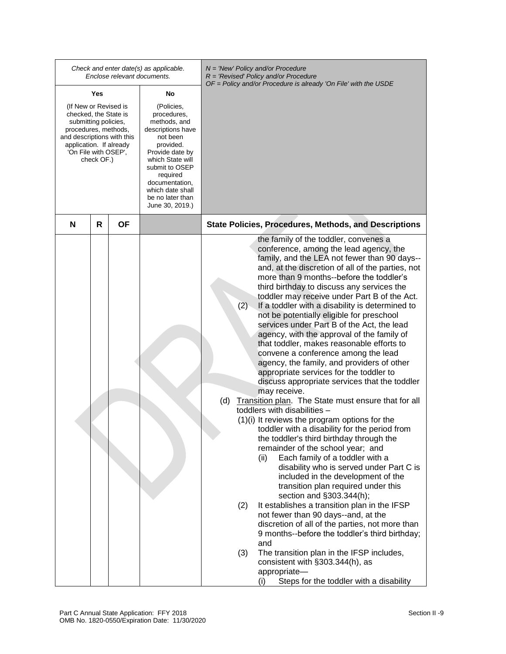|                                                                                                                                                                                               |     | Enclose relevant documents. | Check and enter date(s) as applicable.                                                                                                                                                                                                    | $N =$ 'New' Policy and/or Procedure<br>$R = 'Revised' Policy and/or Procedure$<br>$OF = Policy$ and/or Procedure is already 'On File' with the USDE                                                                                                                                                                                                                                                                                                                                                                                                                                                                                                                                                                                                                                                                                                                                                                                                                                                                                                                                                                                                                                                                                                                                                                                                                                                                                                                                                                                                                                                                                   |
|-----------------------------------------------------------------------------------------------------------------------------------------------------------------------------------------------|-----|-----------------------------|-------------------------------------------------------------------------------------------------------------------------------------------------------------------------------------------------------------------------------------------|---------------------------------------------------------------------------------------------------------------------------------------------------------------------------------------------------------------------------------------------------------------------------------------------------------------------------------------------------------------------------------------------------------------------------------------------------------------------------------------------------------------------------------------------------------------------------------------------------------------------------------------------------------------------------------------------------------------------------------------------------------------------------------------------------------------------------------------------------------------------------------------------------------------------------------------------------------------------------------------------------------------------------------------------------------------------------------------------------------------------------------------------------------------------------------------------------------------------------------------------------------------------------------------------------------------------------------------------------------------------------------------------------------------------------------------------------------------------------------------------------------------------------------------------------------------------------------------------------------------------------------------|
|                                                                                                                                                                                               | Yes |                             | No                                                                                                                                                                                                                                        |                                                                                                                                                                                                                                                                                                                                                                                                                                                                                                                                                                                                                                                                                                                                                                                                                                                                                                                                                                                                                                                                                                                                                                                                                                                                                                                                                                                                                                                                                                                                                                                                                                       |
| (If New or Revised is<br>checked, the State is<br>submitting policies,<br>procedures, methods,<br>and descriptions with this<br>application. If already<br>'On File with OSEP',<br>check OF.) |     |                             | (Policies,<br>procedures,<br>methods, and<br>descriptions have<br>not been<br>provided.<br>Provide date by<br>which State will<br>submit to OSEP<br>required<br>documentation,<br>which date shall<br>be no later than<br>June 30, 2019.) |                                                                                                                                                                                                                                                                                                                                                                                                                                                                                                                                                                                                                                                                                                                                                                                                                                                                                                                                                                                                                                                                                                                                                                                                                                                                                                                                                                                                                                                                                                                                                                                                                                       |
| N                                                                                                                                                                                             | R   | <b>OF</b>                   |                                                                                                                                                                                                                                           | <b>State Policies, Procedures, Methods, and Descriptions</b>                                                                                                                                                                                                                                                                                                                                                                                                                                                                                                                                                                                                                                                                                                                                                                                                                                                                                                                                                                                                                                                                                                                                                                                                                                                                                                                                                                                                                                                                                                                                                                          |
|                                                                                                                                                                                               |     |                             |                                                                                                                                                                                                                                           | the family of the toddler, convenes a<br>conference, among the lead agency, the<br>family, and the LEA not fewer than 90 days--<br>and, at the discretion of all of the parties, not<br>more than 9 months--before the toddler's<br>third birthday to discuss any services the<br>toddler may receive under Part B of the Act.<br>(2)<br>If a toddler with a disability is determined to<br>not be potentially eligible for preschool<br>services under Part B of the Act, the lead<br>agency, with the approval of the family of<br>that toddler, makes reasonable efforts to<br>convene a conference among the lead<br>agency, the family, and providers of other<br>appropriate services for the toddler to<br>discuss appropriate services that the toddler<br>may receive.<br>(d)<br>Transition plan. The State must ensure that for all<br>toddlers with disabilities -<br>$(1)(i)$ It reviews the program options for the<br>toddler with a disability for the period from<br>the toddler's third birthday through the<br>remainder of the school year; and<br>Each family of a toddler with a<br>(ii)<br>disability who is served under Part C is<br>included in the development of the<br>transition plan required under this<br>section and §303.344(h);<br>It establishes a transition plan in the IFSP<br>(2)<br>not fewer than 90 days--and, at the<br>discretion of all of the parties, not more than<br>9 months--before the toddler's third birthday;<br>and<br>The transition plan in the IFSP includes,<br>(3)<br>consistent with §303.344(h), as<br>appropriate-<br>Steps for the toddler with a disability<br>(i) |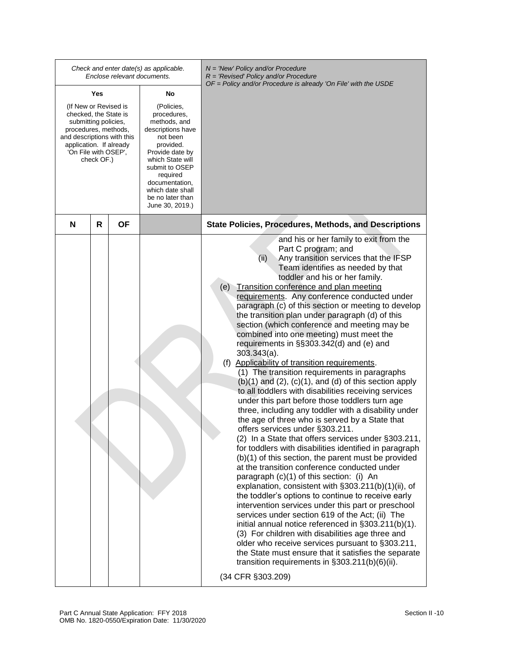|                                                                                                                                                                                                      |   |    | Check and enter date(s) as applicable.<br>Enclose relevant documents.                                                                                                                                                                     | $N =$ 'New' Policy and/or Procedure<br>$R = 'Revised' Policy and/or Procedure$<br>$OF = Policy$ and/or Procedure is already 'On File' with the USDE                                                                                                                                                                                                                                                                                                                                                                                                                                                                                                                                                                                                                                                                                                                                                                                                                                                                                                                                                                                                                                                                                                                                                                                                                                                                                                                                                                                                                                                                                                                                                                                                                         |
|------------------------------------------------------------------------------------------------------------------------------------------------------------------------------------------------------|---|----|-------------------------------------------------------------------------------------------------------------------------------------------------------------------------------------------------------------------------------------------|-----------------------------------------------------------------------------------------------------------------------------------------------------------------------------------------------------------------------------------------------------------------------------------------------------------------------------------------------------------------------------------------------------------------------------------------------------------------------------------------------------------------------------------------------------------------------------------------------------------------------------------------------------------------------------------------------------------------------------------------------------------------------------------------------------------------------------------------------------------------------------------------------------------------------------------------------------------------------------------------------------------------------------------------------------------------------------------------------------------------------------------------------------------------------------------------------------------------------------------------------------------------------------------------------------------------------------------------------------------------------------------------------------------------------------------------------------------------------------------------------------------------------------------------------------------------------------------------------------------------------------------------------------------------------------------------------------------------------------------------------------------------------------|
|                                                                                                                                                                                                      |   |    | No                                                                                                                                                                                                                                        |                                                                                                                                                                                                                                                                                                                                                                                                                                                                                                                                                                                                                                                                                                                                                                                                                                                                                                                                                                                                                                                                                                                                                                                                                                                                                                                                                                                                                                                                                                                                                                                                                                                                                                                                                                             |
| Yes<br>(If New or Revised is<br>checked, the State is<br>submitting policies,<br>procedures, methods,<br>and descriptions with this<br>application. If already<br>'On File with OSEP',<br>check OF.) |   |    | (Policies,<br>procedures,<br>methods, and<br>descriptions have<br>not been<br>provided.<br>Provide date by<br>which State will<br>submit to OSEP<br>required<br>documentation,<br>which date shall<br>be no later than<br>June 30, 2019.) |                                                                                                                                                                                                                                                                                                                                                                                                                                                                                                                                                                                                                                                                                                                                                                                                                                                                                                                                                                                                                                                                                                                                                                                                                                                                                                                                                                                                                                                                                                                                                                                                                                                                                                                                                                             |
| N                                                                                                                                                                                                    | R | ΟF |                                                                                                                                                                                                                                           | <b>State Policies, Procedures, Methods, and Descriptions</b>                                                                                                                                                                                                                                                                                                                                                                                                                                                                                                                                                                                                                                                                                                                                                                                                                                                                                                                                                                                                                                                                                                                                                                                                                                                                                                                                                                                                                                                                                                                                                                                                                                                                                                                |
|                                                                                                                                                                                                      |   |    |                                                                                                                                                                                                                                           | and his or her family to exit from the<br>Part C program; and<br>Any transition services that the IFSP<br>(ii)<br>Team identifies as needed by that<br>toddler and his or her family.<br>(e) Transition conference and plan meeting<br>requirements. Any conference conducted under<br>paragraph (c) of this section or meeting to develop<br>the transition plan under paragraph (d) of this<br>section (which conference and meeting may be<br>combined into one meeting) must meet the<br>requirements in §§303.342(d) and (e) and<br>$303.343(a)$ .<br>(f) Applicability of transition requirements.<br>(1) The transition requirements in paragraphs<br>$(b)(1)$ and $(2)$ , $(c)(1)$ , and $(d)$ of this section apply<br>to all toddlers with disabilities receiving services<br>under this part before those toddlers turn age<br>three, including any toddler with a disability under<br>the age of three who is served by a State that<br>offers services under §303.211.<br>(2) In a State that offers services under §303.211,<br>for toddlers with disabilities identified in paragraph<br>(b)(1) of this section, the parent must be provided<br>at the transition conference conducted under<br>paragraph (c)(1) of this section: (i) An<br>explanation, consistent with §303.211(b)(1)(ii), of<br>the toddler's options to continue to receive early<br>intervention services under this part or preschool<br>services under section 619 of the Act; (ii) The<br>initial annual notice referenced in §303.211(b)(1).<br>(3) For children with disabilities age three and<br>older who receive services pursuant to §303.211,<br>the State must ensure that it satisfies the separate<br>transition requirements in §303.211(b)(6)(ii).<br>(34 CFR §303.209) |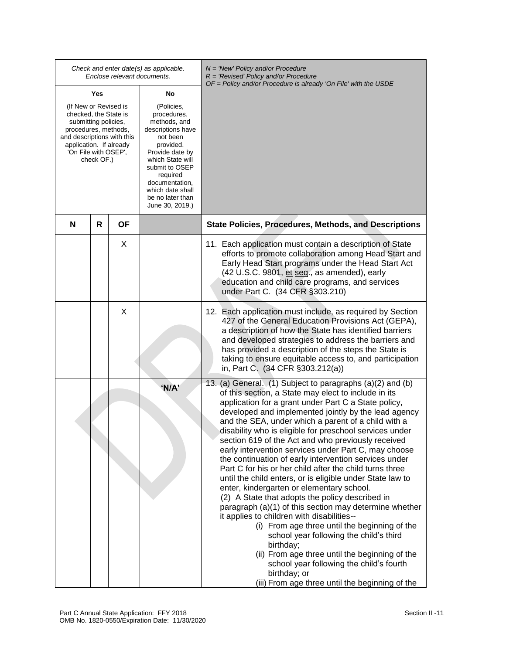| Check and enter date(s) as applicable.<br>Enclose relevant documents.                                                                                                                         |     |           |                                                                                                                                                                                                                                           | $N =$ 'New' Policy and/or Procedure<br>$R = 'Revised' Policy and/or Procedure$                                                                                                                                                                                                                                                                                                                                                                                                                                                                                                                                                                                                                                                                                                                                                                                                                                                                                                                                                                                                                                                       |  |
|-----------------------------------------------------------------------------------------------------------------------------------------------------------------------------------------------|-----|-----------|-------------------------------------------------------------------------------------------------------------------------------------------------------------------------------------------------------------------------------------------|--------------------------------------------------------------------------------------------------------------------------------------------------------------------------------------------------------------------------------------------------------------------------------------------------------------------------------------------------------------------------------------------------------------------------------------------------------------------------------------------------------------------------------------------------------------------------------------------------------------------------------------------------------------------------------------------------------------------------------------------------------------------------------------------------------------------------------------------------------------------------------------------------------------------------------------------------------------------------------------------------------------------------------------------------------------------------------------------------------------------------------------|--|
|                                                                                                                                                                                               | Yes |           | No                                                                                                                                                                                                                                        | OF = Policy and/or Procedure is already 'On File' with the USDE                                                                                                                                                                                                                                                                                                                                                                                                                                                                                                                                                                                                                                                                                                                                                                                                                                                                                                                                                                                                                                                                      |  |
| (If New or Revised is<br>checked, the State is<br>submitting policies,<br>procedures, methods,<br>and descriptions with this<br>application. If already<br>'On File with OSEP',<br>check OF.) |     |           | (Policies,<br>procedures,<br>methods, and<br>descriptions have<br>not been<br>provided.<br>Provide date by<br>which State will<br>submit to OSEP<br>required<br>documentation,<br>which date shall<br>be no later than<br>June 30, 2019.) |                                                                                                                                                                                                                                                                                                                                                                                                                                                                                                                                                                                                                                                                                                                                                                                                                                                                                                                                                                                                                                                                                                                                      |  |
| N                                                                                                                                                                                             | R   | <b>OF</b> |                                                                                                                                                                                                                                           | <b>State Policies, Procedures, Methods, and Descriptions</b>                                                                                                                                                                                                                                                                                                                                                                                                                                                                                                                                                                                                                                                                                                                                                                                                                                                                                                                                                                                                                                                                         |  |
|                                                                                                                                                                                               |     | X         |                                                                                                                                                                                                                                           | 11. Each application must contain a description of State<br>efforts to promote collaboration among Head Start and<br>Early Head Start programs under the Head Start Act<br>(42 U.S.C. 9801, et seq., as amended), early<br>education and child care programs, and services<br>under Part C. (34 CFR §303.210)                                                                                                                                                                                                                                                                                                                                                                                                                                                                                                                                                                                                                                                                                                                                                                                                                        |  |
|                                                                                                                                                                                               |     | X         |                                                                                                                                                                                                                                           | 12. Each application must include, as required by Section<br>427 of the General Education Provisions Act (GEPA),<br>a description of how the State has identified barriers<br>and developed strategies to address the barriers and<br>has provided a description of the steps the State is<br>taking to ensure equitable access to, and participation<br>in, Part C. (34 CFR §303.212(a))                                                                                                                                                                                                                                                                                                                                                                                                                                                                                                                                                                                                                                                                                                                                            |  |
|                                                                                                                                                                                               |     |           | 'N/A'                                                                                                                                                                                                                                     | 13. (a) General. (1) Subject to paragraphs (a)(2) and (b)<br>of this section, a State may elect to include in its<br>application for a grant under Part C a State policy,<br>developed and implemented jointly by the lead agency<br>and the SEA, under which a parent of a child with a<br>disability who is eligible for preschool services under<br>section 619 of the Act and who previously received<br>early intervention services under Part C, may choose<br>the continuation of early intervention services under<br>Part C for his or her child after the child turns three<br>until the child enters, or is eligible under State law to<br>enter, kindergarten or elementary school.<br>(2) A State that adopts the policy described in<br>paragraph (a)(1) of this section may determine whether<br>it applies to children with disabilities--<br>(i) From age three until the beginning of the<br>school year following the child's third<br>birthday;<br>(ii) From age three until the beginning of the<br>school year following the child's fourth<br>birthday; or<br>(iii) From age three until the beginning of the |  |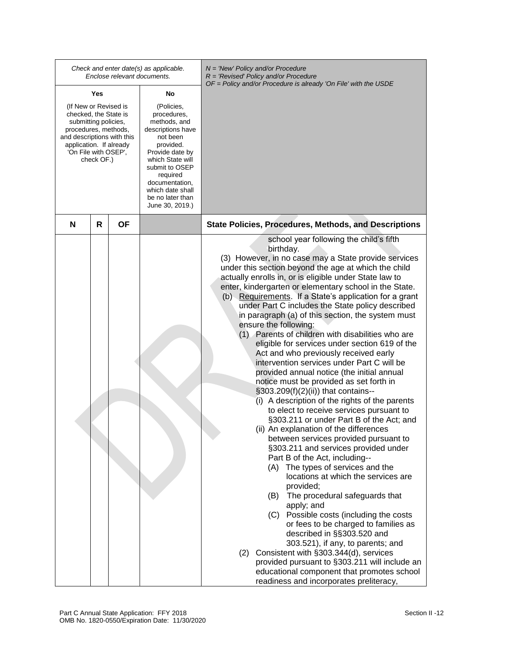|                                                                                                                                                                                               |   | Enclose relevant documents. | Check and enter date(s) as applicable.                                                                                                                                                                                                    | $N =$ 'New' Policy and/or Procedure<br>R = 'Revised' Policy and/or Procedure<br>OF = Policy and/or Procedure is already 'On File' with the USDE                                                                                                                                                                                                                                                                                                                                                                                                                                                                                                                                                                                                                                                                                                                                                                                                                                                                                                                                                                                                                                                                                                                                                                                                                                                                                                                                                                                                                                                                           |
|-----------------------------------------------------------------------------------------------------------------------------------------------------------------------------------------------|---|-----------------------------|-------------------------------------------------------------------------------------------------------------------------------------------------------------------------------------------------------------------------------------------|---------------------------------------------------------------------------------------------------------------------------------------------------------------------------------------------------------------------------------------------------------------------------------------------------------------------------------------------------------------------------------------------------------------------------------------------------------------------------------------------------------------------------------------------------------------------------------------------------------------------------------------------------------------------------------------------------------------------------------------------------------------------------------------------------------------------------------------------------------------------------------------------------------------------------------------------------------------------------------------------------------------------------------------------------------------------------------------------------------------------------------------------------------------------------------------------------------------------------------------------------------------------------------------------------------------------------------------------------------------------------------------------------------------------------------------------------------------------------------------------------------------------------------------------------------------------------------------------------------------------------|
| Yes                                                                                                                                                                                           |   |                             | No                                                                                                                                                                                                                                        |                                                                                                                                                                                                                                                                                                                                                                                                                                                                                                                                                                                                                                                                                                                                                                                                                                                                                                                                                                                                                                                                                                                                                                                                                                                                                                                                                                                                                                                                                                                                                                                                                           |
| (If New or Revised is<br>checked, the State is<br>submitting policies,<br>procedures, methods,<br>and descriptions with this<br>application. If already<br>'On File with OSEP',<br>check OF.) |   |                             | (Policies,<br>procedures,<br>methods, and<br>descriptions have<br>not been<br>provided.<br>Provide date by<br>which State will<br>submit to OSEP<br>required<br>documentation,<br>which date shall<br>be no later than<br>June 30, 2019.) |                                                                                                                                                                                                                                                                                                                                                                                                                                                                                                                                                                                                                                                                                                                                                                                                                                                                                                                                                                                                                                                                                                                                                                                                                                                                                                                                                                                                                                                                                                                                                                                                                           |
| N                                                                                                                                                                                             | R | ΟF                          |                                                                                                                                                                                                                                           | State Policies, Procedures, Methods, and Descriptions                                                                                                                                                                                                                                                                                                                                                                                                                                                                                                                                                                                                                                                                                                                                                                                                                                                                                                                                                                                                                                                                                                                                                                                                                                                                                                                                                                                                                                                                                                                                                                     |
|                                                                                                                                                                                               |   |                             |                                                                                                                                                                                                                                           | school year following the child's fifth<br>birthday.<br>(3) However, in no case may a State provide services<br>under this section beyond the age at which the child<br>actually enrolls in, or is eligible under State law to<br>enter, kindergarten or elementary school in the State.<br>(b) Requirements. If a State's application for a grant<br>under Part C includes the State policy described<br>in paragraph (a) of this section, the system must<br>ensure the following:<br>(1) Parents of children with disabilities who are<br>eligible for services under section 619 of the<br>Act and who previously received early<br>intervention services under Part C will be<br>provided annual notice (the initial annual<br>notice must be provided as set forth in<br>§303.209(f)(2)(ii)) that contains--<br>(i) A description of the rights of the parents<br>to elect to receive services pursuant to<br>§303.211 or under Part B of the Act; and<br>(ii) An explanation of the differences<br>between services provided pursuant to<br>§303.211 and services provided under<br>Part B of the Act, including--<br>(A) The types of services and the<br>locations at which the services are<br>provided;<br>The procedural safeguards that<br>(B)<br>apply; and<br>Possible costs (including the costs<br>(C)<br>or fees to be charged to families as<br>described in §§303.520 and<br>303.521), if any, to parents; and<br>(2) Consistent with §303.344(d), services<br>provided pursuant to §303.211 will include an<br>educational component that promotes school<br>readiness and incorporates preliteracy, |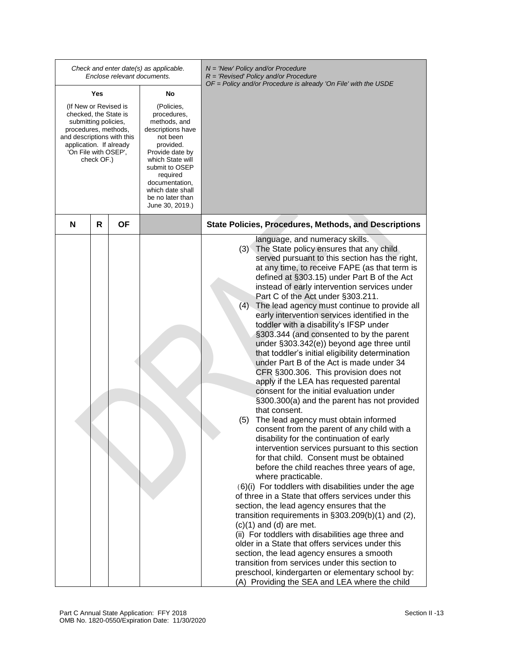|                                                                                                                                                                                               |     | Enclose relevant documents. | Check and enter date(s) as applicable.                                                                                                                                                                                                    | $N =$ 'New' Policy and/or Procedure<br>$R = 'Revised' Policy and/or Procedure$<br>$OF = Policy$ and/or Procedure is already 'On File' with the USDE                                                                                                                                                                                                                                                                                                                                                                                                                                                                                                                                                                                                                                                                                                                                                                                                                                                                                                                                                                                                                                                                                                                                                                                                                                                                                                                                                                                                                                                                                                                                                                                           |
|-----------------------------------------------------------------------------------------------------------------------------------------------------------------------------------------------|-----|-----------------------------|-------------------------------------------------------------------------------------------------------------------------------------------------------------------------------------------------------------------------------------------|-----------------------------------------------------------------------------------------------------------------------------------------------------------------------------------------------------------------------------------------------------------------------------------------------------------------------------------------------------------------------------------------------------------------------------------------------------------------------------------------------------------------------------------------------------------------------------------------------------------------------------------------------------------------------------------------------------------------------------------------------------------------------------------------------------------------------------------------------------------------------------------------------------------------------------------------------------------------------------------------------------------------------------------------------------------------------------------------------------------------------------------------------------------------------------------------------------------------------------------------------------------------------------------------------------------------------------------------------------------------------------------------------------------------------------------------------------------------------------------------------------------------------------------------------------------------------------------------------------------------------------------------------------------------------------------------------------------------------------------------------|
|                                                                                                                                                                                               | Yes |                             | No                                                                                                                                                                                                                                        |                                                                                                                                                                                                                                                                                                                                                                                                                                                                                                                                                                                                                                                                                                                                                                                                                                                                                                                                                                                                                                                                                                                                                                                                                                                                                                                                                                                                                                                                                                                                                                                                                                                                                                                                               |
| (If New or Revised is<br>checked, the State is<br>submitting policies,<br>procedures, methods,<br>and descriptions with this<br>application. If already<br>'On File with OSEP',<br>check OF.) |     |                             | (Policies,<br>procedures,<br>methods, and<br>descriptions have<br>not been<br>provided.<br>Provide date by<br>which State will<br>submit to OSEP<br>required<br>documentation,<br>which date shall<br>be no later than<br>June 30, 2019.) |                                                                                                                                                                                                                                                                                                                                                                                                                                                                                                                                                                                                                                                                                                                                                                                                                                                                                                                                                                                                                                                                                                                                                                                                                                                                                                                                                                                                                                                                                                                                                                                                                                                                                                                                               |
| N                                                                                                                                                                                             | R   | OF                          |                                                                                                                                                                                                                                           | <b>State Policies, Procedures, Methods, and Descriptions</b>                                                                                                                                                                                                                                                                                                                                                                                                                                                                                                                                                                                                                                                                                                                                                                                                                                                                                                                                                                                                                                                                                                                                                                                                                                                                                                                                                                                                                                                                                                                                                                                                                                                                                  |
|                                                                                                                                                                                               |     |                             |                                                                                                                                                                                                                                           | language, and numeracy skills.<br>The State policy ensures that any child<br>(3)<br>served pursuant to this section has the right,<br>at any time, to receive FAPE (as that term is<br>defined at §303.15) under Part B of the Act<br>instead of early intervention services under<br>Part C of the Act under §303.211.<br>(4) The lead agency must continue to provide all<br>early intervention services identified in the<br>toddler with a disability's IFSP under<br>§303.344 (and consented to by the parent<br>under §303.342(e)) beyond age three until<br>that toddler's initial eligibility determination<br>under Part B of the Act is made under 34<br>CFR §300.306. This provision does not<br>apply if the LEA has requested parental<br>consent for the initial evaluation under<br>§300.300(a) and the parent has not provided<br>that consent.<br>The lead agency must obtain informed<br>(5)<br>consent from the parent of any child with a<br>disability for the continuation of early<br>intervention services pursuant to this section<br>for that child. Consent must be obtained<br>before the child reaches three years of age,<br>where practicable.<br>(6)(i) For toddlers with disabilities under the age<br>of three in a State that offers services under this<br>section, the lead agency ensures that the<br>transition requirements in $\S303.209(b)(1)$ and (2),<br>$(c)(1)$ and $(d)$ are met.<br>(ii) For toddlers with disabilities age three and<br>older in a State that offers services under this<br>section, the lead agency ensures a smooth<br>transition from services under this section to<br>preschool, kindergarten or elementary school by:<br>(A) Providing the SEA and LEA where the child |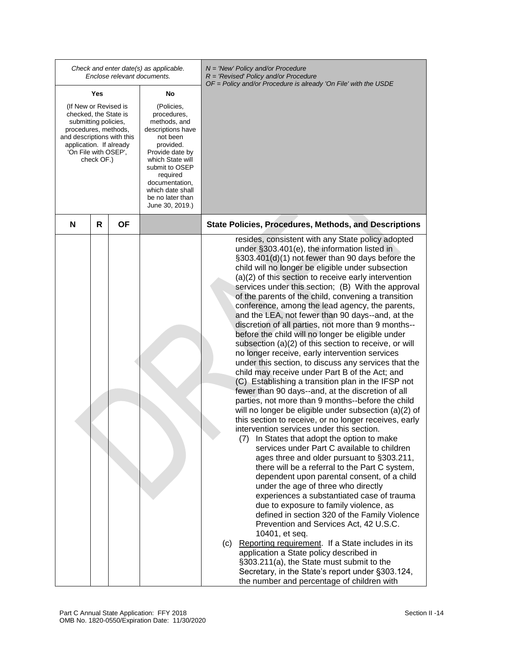|                                                                                                                                                                                               |   |           | Check and enter date(s) as applicable.<br>Enclose relevant documents.                                                                                                                                                                     | $N =$ 'New' Policy and/or Procedure<br>$R = 'Revised' Policy and/or Procedure$<br>OF = Policy and/or Procedure is already 'On File' with the USDE                                                                                                                                                                                                                                                                                                                                                                                                                                                                                                                                                                                                                                                                                                                                                                                                                                                                                                                                                                                                                                                                                                                                                                                                                                                                                                                                                                                                                                                                                                                                                                                                                                                                                                                                                  |
|-----------------------------------------------------------------------------------------------------------------------------------------------------------------------------------------------|---|-----------|-------------------------------------------------------------------------------------------------------------------------------------------------------------------------------------------------------------------------------------------|----------------------------------------------------------------------------------------------------------------------------------------------------------------------------------------------------------------------------------------------------------------------------------------------------------------------------------------------------------------------------------------------------------------------------------------------------------------------------------------------------------------------------------------------------------------------------------------------------------------------------------------------------------------------------------------------------------------------------------------------------------------------------------------------------------------------------------------------------------------------------------------------------------------------------------------------------------------------------------------------------------------------------------------------------------------------------------------------------------------------------------------------------------------------------------------------------------------------------------------------------------------------------------------------------------------------------------------------------------------------------------------------------------------------------------------------------------------------------------------------------------------------------------------------------------------------------------------------------------------------------------------------------------------------------------------------------------------------------------------------------------------------------------------------------------------------------------------------------------------------------------------------------|
| Yes                                                                                                                                                                                           |   |           | No                                                                                                                                                                                                                                        |                                                                                                                                                                                                                                                                                                                                                                                                                                                                                                                                                                                                                                                                                                                                                                                                                                                                                                                                                                                                                                                                                                                                                                                                                                                                                                                                                                                                                                                                                                                                                                                                                                                                                                                                                                                                                                                                                                    |
| (If New or Revised is<br>checked, the State is<br>submitting policies,<br>procedures, methods,<br>and descriptions with this<br>application. If already<br>'On File with OSEP',<br>check OF.) |   |           | (Policies,<br>procedures,<br>methods, and<br>descriptions have<br>not been<br>provided.<br>Provide date by<br>which State will<br>submit to OSEP<br>required<br>documentation,<br>which date shall<br>be no later than<br>June 30, 2019.) |                                                                                                                                                                                                                                                                                                                                                                                                                                                                                                                                                                                                                                                                                                                                                                                                                                                                                                                                                                                                                                                                                                                                                                                                                                                                                                                                                                                                                                                                                                                                                                                                                                                                                                                                                                                                                                                                                                    |
| N                                                                                                                                                                                             | R | <b>OF</b> |                                                                                                                                                                                                                                           | <b>State Policies, Procedures, Methods, and Descriptions</b>                                                                                                                                                                                                                                                                                                                                                                                                                                                                                                                                                                                                                                                                                                                                                                                                                                                                                                                                                                                                                                                                                                                                                                                                                                                                                                                                                                                                                                                                                                                                                                                                                                                                                                                                                                                                                                       |
|                                                                                                                                                                                               |   |           |                                                                                                                                                                                                                                           | resides, consistent with any State policy adopted<br>under §303.401(e), the information listed in<br>§303.401(d)(1) not fewer than 90 days before the<br>child will no longer be eligible under subsection<br>(a)(2) of this section to receive early intervention<br>services under this section; (B) With the approval<br>of the parents of the child, convening a transition<br>conference, among the lead agency, the parents,<br>and the LEA, not fewer than 90 days--and, at the<br>discretion of all parties, not more than 9 months--<br>before the child will no longer be eligible under<br>subsection (a)(2) of this section to receive, or will<br>no longer receive, early intervention services<br>under this section, to discuss any services that the<br>child may receive under Part B of the Act; and<br>(C) Establishing a transition plan in the IFSP not<br>fewer than 90 days--and, at the discretion of all<br>parties, not more than 9 months--before the child<br>will no longer be eligible under subsection (a)(2) of<br>this section to receive, or no longer receives, early<br>intervention services under this section.<br>(7) In States that adopt the option to make<br>services under Part C available to children<br>ages three and older pursuant to §303.211,<br>there will be a referral to the Part C system,<br>dependent upon parental consent, of a child<br>under the age of three who directly<br>experiences a substantiated case of trauma<br>due to exposure to family violence, as<br>defined in section 320 of the Family Violence<br>Prevention and Services Act, 42 U.S.C.<br>10401, et seq.<br>(c) Reporting requirement. If a State includes in its<br>application a State policy described in<br>§303.211(a), the State must submit to the<br>Secretary, in the State's report under §303.124,<br>the number and percentage of children with |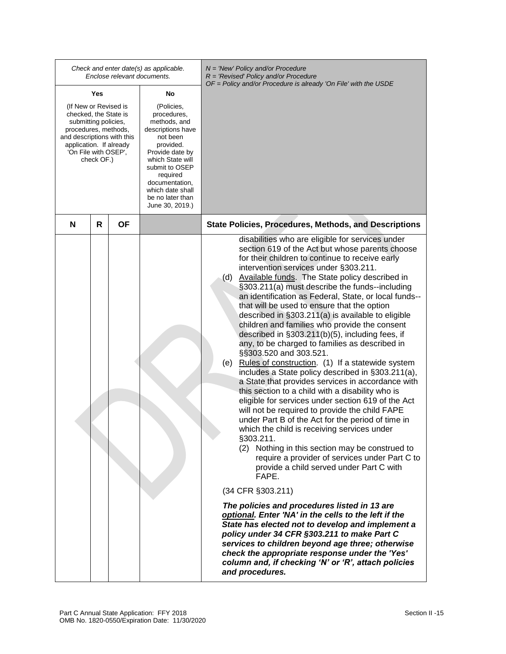|                                                                                                                                                                                               |    | Check and enter date(s) as applicable.<br>Enclose relevant documents.                                                                                                                                                                     | $N =$ 'New' Policy and/or Procedure<br>$R$ = 'Revised' Policy and/or Procedure<br>$OF = Policy$ and/or Procedure is already 'On File' with the USDE                                                                                                                                                                                                                                                                                                                                                                                                                                                                                                                                                                                                                                                                                                                                                                                                                                                                                                                                                                                                                                                                                                                                                                                                                                                                                                                                                                                                                                                                                                                              |
|-----------------------------------------------------------------------------------------------------------------------------------------------------------------------------------------------|----|-------------------------------------------------------------------------------------------------------------------------------------------------------------------------------------------------------------------------------------------|----------------------------------------------------------------------------------------------------------------------------------------------------------------------------------------------------------------------------------------------------------------------------------------------------------------------------------------------------------------------------------------------------------------------------------------------------------------------------------------------------------------------------------------------------------------------------------------------------------------------------------------------------------------------------------------------------------------------------------------------------------------------------------------------------------------------------------------------------------------------------------------------------------------------------------------------------------------------------------------------------------------------------------------------------------------------------------------------------------------------------------------------------------------------------------------------------------------------------------------------------------------------------------------------------------------------------------------------------------------------------------------------------------------------------------------------------------------------------------------------------------------------------------------------------------------------------------------------------------------------------------------------------------------------------------|
| Yes                                                                                                                                                                                           |    | No                                                                                                                                                                                                                                        |                                                                                                                                                                                                                                                                                                                                                                                                                                                                                                                                                                                                                                                                                                                                                                                                                                                                                                                                                                                                                                                                                                                                                                                                                                                                                                                                                                                                                                                                                                                                                                                                                                                                                  |
| (If New or Revised is<br>checked, the State is<br>submitting policies,<br>procedures, methods,<br>and descriptions with this<br>application. If already<br>'On File with OSEP',<br>check OF.) |    | (Policies,<br>procedures,<br>methods, and<br>descriptions have<br>not been<br>provided.<br>Provide date by<br>which State will<br>submit to OSEP<br>required<br>documentation,<br>which date shall<br>be no later than<br>June 30, 2019.) |                                                                                                                                                                                                                                                                                                                                                                                                                                                                                                                                                                                                                                                                                                                                                                                                                                                                                                                                                                                                                                                                                                                                                                                                                                                                                                                                                                                                                                                                                                                                                                                                                                                                                  |
| R<br>N                                                                                                                                                                                        | ΟF |                                                                                                                                                                                                                                           | <b>State Policies, Procedures, Methods, and Descriptions</b>                                                                                                                                                                                                                                                                                                                                                                                                                                                                                                                                                                                                                                                                                                                                                                                                                                                                                                                                                                                                                                                                                                                                                                                                                                                                                                                                                                                                                                                                                                                                                                                                                     |
|                                                                                                                                                                                               |    |                                                                                                                                                                                                                                           | disabilities who are eligible for services under<br>section 619 of the Act but whose parents choose<br>for their children to continue to receive early<br>intervention services under §303.211.<br>(d)<br>Available funds. The State policy described in<br>§303.211(a) must describe the funds--including<br>an identification as Federal, State, or local funds--<br>that will be used to ensure that the option<br>described in §303.211(a) is available to eligible<br>children and families who provide the consent<br>described in §303.211(b)(5), including fees, if<br>any, to be charged to families as described in<br>§§303.520 and 303.521.<br>(e) Rules of construction. (1) If a statewide system<br>includes a State policy described in §303.211(a),<br>a State that provides services in accordance with<br>this section to a child with a disability who is<br>eligible for services under section 619 of the Act<br>will not be required to provide the child FAPE<br>under Part B of the Act for the period of time in<br>which the child is receiving services under<br>§303.211.<br>(2) Nothing in this section may be construed to<br>require a provider of services under Part C to<br>provide a child served under Part C with<br>FAPE.<br>(34 CFR §303.211)<br>The policies and procedures listed in 13 are<br>optional. Enter 'NA' in the cells to the left if the<br>State has elected not to develop and implement a<br>policy under 34 CFR §303.211 to make Part C<br>services to children beyond age three; otherwise<br>check the appropriate response under the 'Yes'<br>column and, if checking 'N' or 'R', attach policies<br>and procedures. |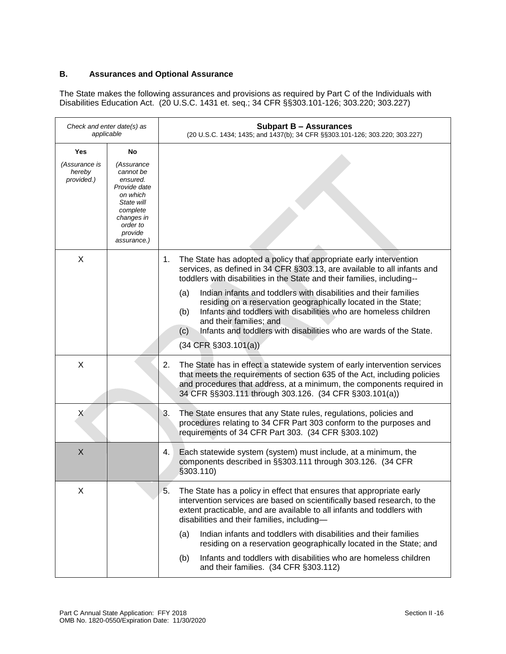# **B. Assurances and Optional Assurance**

The State makes the following assurances and provisions as required by Part C of the Individuals with Disabilities Education Act. (20 U.S.C. 1431 et. seq.; 34 CFR §§303.101-126; 303.220; 303.227)

| Check and enter date(s) as<br>applicable     |                                                                                                                                                     | <b>Subpart B - Assurances</b><br>(20 U.S.C. 1434; 1435; and 1437(b); 34 CFR §§303.101-126; 303.220; 303.227)                                                                                                                                                                                                                                                                                                                                                                                                                                                                                  |
|----------------------------------------------|-----------------------------------------------------------------------------------------------------------------------------------------------------|-----------------------------------------------------------------------------------------------------------------------------------------------------------------------------------------------------------------------------------------------------------------------------------------------------------------------------------------------------------------------------------------------------------------------------------------------------------------------------------------------------------------------------------------------------------------------------------------------|
| Yes<br>(Assurance is<br>hereby<br>provided.) | No<br>(Assurance<br>cannot be<br>ensured.<br>Provide date<br>on which<br>State will<br>complete<br>changes in<br>order to<br>provide<br>assurance.) |                                                                                                                                                                                                                                                                                                                                                                                                                                                                                                                                                                                               |
| X                                            |                                                                                                                                                     | The State has adopted a policy that appropriate early intervention<br>1.<br>services, as defined in 34 CFR §303.13, are available to all infants and<br>toddlers with disabilities in the State and their families, including--<br>Indian infants and toddlers with disabilities and their families<br>(a)<br>residing on a reservation geographically located in the State;<br>Infants and toddlers with disabilities who are homeless children<br>(b)<br>and their families; and<br>Infants and toddlers with disabilities who are wards of the State.<br>(c)<br>$(34$ CFR $\S 303.101(a))$ |
| X                                            |                                                                                                                                                     | The State has in effect a statewide system of early intervention services<br>2.<br>that meets the requirements of section 635 of the Act, including policies<br>and procedures that address, at a minimum, the components required in<br>34 CFR §§303.111 through 303.126. (34 CFR §303.101(a))                                                                                                                                                                                                                                                                                               |
| X                                            |                                                                                                                                                     | The State ensures that any State rules, regulations, policies and<br>3.<br>procedures relating to 34 CFR Part 303 conform to the purposes and<br>requirements of 34 CFR Part 303. (34 CFR §303.102)                                                                                                                                                                                                                                                                                                                                                                                           |
| X                                            |                                                                                                                                                     | Each statewide system (system) must include, at a minimum, the<br>4.<br>components described in §§303.111 through 303.126. (34 CFR<br>\$303.110                                                                                                                                                                                                                                                                                                                                                                                                                                               |
| X                                            |                                                                                                                                                     | The State has a policy in effect that ensures that appropriate early<br>5.<br>intervention services are based on scientifically based research, to the<br>extent practicable, and are available to all infants and toddlers with<br>disabilities and their families, including-<br>Indian infants and toddlers with disabilities and their families<br>(a)<br>residing on a reservation geographically located in the State; and<br>Infants and toddlers with disabilities who are homeless children<br>(b)<br>and their families. (34 CFR §303.112)                                          |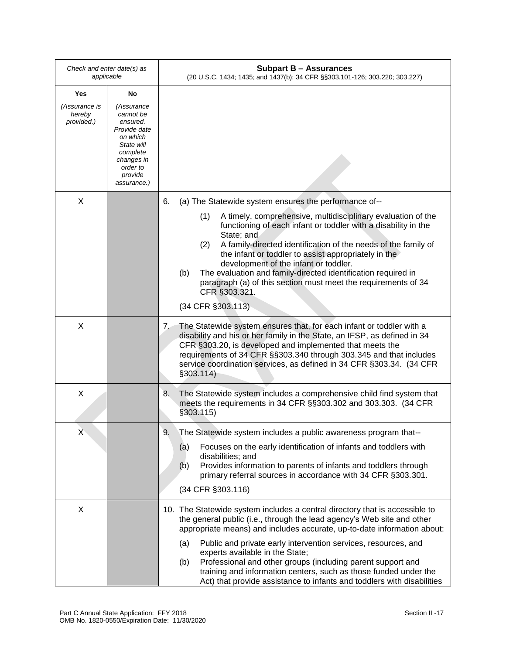| Check and enter date(s) as<br>applicable |                                                                                                                                               | <b>Subpart B - Assurances</b><br>(20 U.S.C. 1434; 1435; and 1437(b); 34 CFR §§303.101-126; 303.220; 303.227)                                                                                                                                                                                                                                                                                                                                                                             |
|------------------------------------------|-----------------------------------------------------------------------------------------------------------------------------------------------|------------------------------------------------------------------------------------------------------------------------------------------------------------------------------------------------------------------------------------------------------------------------------------------------------------------------------------------------------------------------------------------------------------------------------------------------------------------------------------------|
| Yes                                      | No                                                                                                                                            |                                                                                                                                                                                                                                                                                                                                                                                                                                                                                          |
| (Assurance is<br>hereby<br>provided.)    | (Assurance<br>cannot be<br>ensured.<br>Provide date<br>on which<br>State will<br>complete<br>changes in<br>order to<br>provide<br>assurance.) |                                                                                                                                                                                                                                                                                                                                                                                                                                                                                          |
| X                                        |                                                                                                                                               | (a) The Statewide system ensures the performance of--<br>6.                                                                                                                                                                                                                                                                                                                                                                                                                              |
|                                          |                                                                                                                                               | A timely, comprehensive, multidisciplinary evaluation of the<br>(1)<br>functioning of each infant or toddler with a disability in the<br>State; and<br>A family-directed identification of the needs of the family of<br>(2)<br>the infant or toddler to assist appropriately in the<br>development of the infant or toddler.<br>The evaluation and family-directed identification required in<br>(b)<br>paragraph (a) of this section must meet the requirements of 34<br>CFR §303.321. |
|                                          |                                                                                                                                               | (34 CFR §303.113)                                                                                                                                                                                                                                                                                                                                                                                                                                                                        |
| X                                        |                                                                                                                                               | 7. The Statewide system ensures that, for each infant or toddler with a<br>disability and his or her family in the State, an IFSP, as defined in 34<br>CFR §303.20, is developed and implemented that meets the<br>requirements of 34 CFR §§303.340 through 303.345 and that includes<br>service coordination services, as defined in 34 CFR §303.34. (34 CFR<br>§303.114)                                                                                                               |
| X                                        |                                                                                                                                               | 8.<br>The Statewide system includes a comprehensive child find system that<br>meets the requirements in 34 CFR §§303.302 and 303.303. (34 CFR<br>\$303.115)                                                                                                                                                                                                                                                                                                                              |
| Χ                                        |                                                                                                                                               | 9.<br>The Statewide system includes a public awareness program that--<br>Focuses on the early identification of infants and toddlers with<br>(a)<br>disabilities; and<br>Provides information to parents of infants and toddlers through<br>(b)<br>primary referral sources in accordance with 34 CFR §303.301.<br>(34 CFR §303.116)                                                                                                                                                     |
| X                                        |                                                                                                                                               | 10. The Statewide system includes a central directory that is accessible to<br>the general public (i.e., through the lead agency's Web site and other<br>appropriate means) and includes accurate, up-to-date information about:<br>Public and private early intervention services, resources, and<br>(a)<br>experts available in the State;                                                                                                                                             |
|                                          |                                                                                                                                               | Professional and other groups (including parent support and<br>(b)<br>training and information centers, such as those funded under the<br>Act) that provide assistance to infants and toddlers with disabilities                                                                                                                                                                                                                                                                         |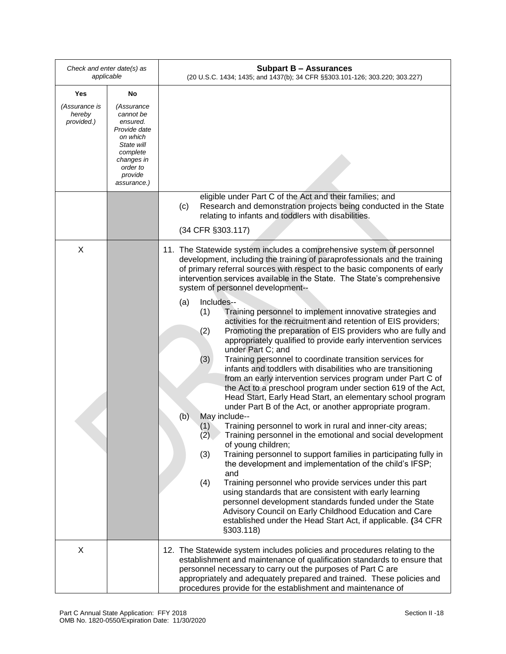| Check and enter date(s) as<br>applicable     |                                                                                                                                                     | <b>Subpart B - Assurances</b><br>(20 U.S.C. 1434; 1435; and 1437(b); 34 CFR §§303.101-126; 303.220; 303.227)                                                                                                                                                                                                                                                                                                                                                                                                                                                                                                                                                                                                                                                                                                                                                                                                                                                                                                                                                                                                                                                                                                                                                                                                                                                                                                                                                                                                                                                                                                                                                                                                                           |
|----------------------------------------------|-----------------------------------------------------------------------------------------------------------------------------------------------------|----------------------------------------------------------------------------------------------------------------------------------------------------------------------------------------------------------------------------------------------------------------------------------------------------------------------------------------------------------------------------------------------------------------------------------------------------------------------------------------------------------------------------------------------------------------------------------------------------------------------------------------------------------------------------------------------------------------------------------------------------------------------------------------------------------------------------------------------------------------------------------------------------------------------------------------------------------------------------------------------------------------------------------------------------------------------------------------------------------------------------------------------------------------------------------------------------------------------------------------------------------------------------------------------------------------------------------------------------------------------------------------------------------------------------------------------------------------------------------------------------------------------------------------------------------------------------------------------------------------------------------------------------------------------------------------------------------------------------------------|
| Yes<br>(Assurance is<br>hereby<br>provided.) | No<br>(Assurance<br>cannot be<br>ensured.<br>Provide date<br>on which<br>State will<br>complete<br>changes in<br>order to<br>provide<br>assurance.) | eligible under Part C of the Act and their families; and<br>Research and demonstration projects being conducted in the State<br>(c)                                                                                                                                                                                                                                                                                                                                                                                                                                                                                                                                                                                                                                                                                                                                                                                                                                                                                                                                                                                                                                                                                                                                                                                                                                                                                                                                                                                                                                                                                                                                                                                                    |
|                                              |                                                                                                                                                     | relating to infants and toddlers with disabilities.<br>(34 CFR §303.117)                                                                                                                                                                                                                                                                                                                                                                                                                                                                                                                                                                                                                                                                                                                                                                                                                                                                                                                                                                                                                                                                                                                                                                                                                                                                                                                                                                                                                                                                                                                                                                                                                                                               |
| X                                            |                                                                                                                                                     | 11. The Statewide system includes a comprehensive system of personnel<br>development, including the training of paraprofessionals and the training<br>of primary referral sources with respect to the basic components of early<br>intervention services available in the State. The State's comprehensive<br>system of personnel development--<br>Includes--<br>(a)<br>Training personnel to implement innovative strategies and<br>(1)<br>activities for the recruitment and retention of EIS providers;<br>Promoting the preparation of EIS providers who are fully and<br>(2)<br>appropriately qualified to provide early intervention services<br>under Part C; and<br>(3)<br>Training personnel to coordinate transition services for<br>infants and toddlers with disabilities who are transitioning<br>from an early intervention services program under Part C of<br>the Act to a preschool program under section 619 of the Act,<br>Head Start, Early Head Start, an elementary school program<br>under Part B of the Act, or another appropriate program.<br>May include--<br>(b)<br>Training personnel to work in rural and inner-city areas;<br>(1)<br>(2)<br>Training personnel in the emotional and social development<br>of young children;<br>Training personnel to support families in participating fully in<br>(3)<br>the development and implementation of the child's IFSP;<br>and<br>Training personnel who provide services under this part<br>(4)<br>using standards that are consistent with early learning<br>personnel development standards funded under the State<br>Advisory Council on Early Childhood Education and Care<br>established under the Head Start Act, if applicable. (34 CFR<br>§303.118) |
| X                                            |                                                                                                                                                     | 12. The Statewide system includes policies and procedures relating to the<br>establishment and maintenance of qualification standards to ensure that<br>personnel necessary to carry out the purposes of Part C are<br>appropriately and adequately prepared and trained. These policies and<br>procedures provide for the establishment and maintenance of                                                                                                                                                                                                                                                                                                                                                                                                                                                                                                                                                                                                                                                                                                                                                                                                                                                                                                                                                                                                                                                                                                                                                                                                                                                                                                                                                                            |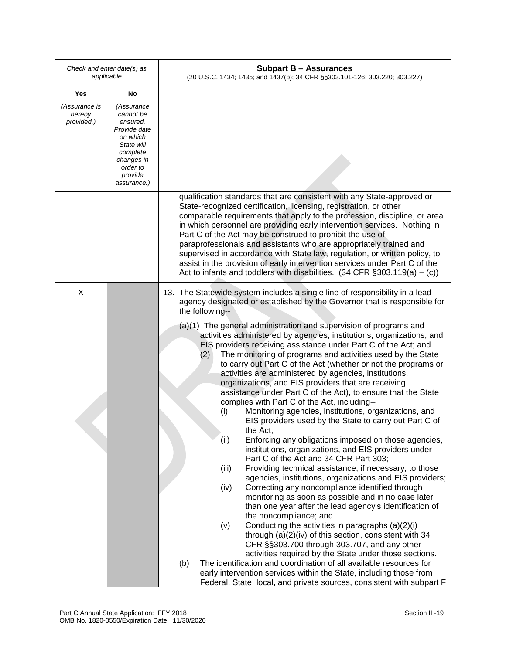| Check and enter date(s) as<br>applicable |                                                                                                                                               | <b>Subpart B - Assurances</b><br>(20 U.S.C. 1434; 1435; and 1437(b); 34 CFR §§303.101-126; 303.220; 303.227)                                                                                                                                                                                                                                                                                                                                                                                                                                                                                                                                                                                                                                                                                                                                                                                                                                                                                            |
|------------------------------------------|-----------------------------------------------------------------------------------------------------------------------------------------------|---------------------------------------------------------------------------------------------------------------------------------------------------------------------------------------------------------------------------------------------------------------------------------------------------------------------------------------------------------------------------------------------------------------------------------------------------------------------------------------------------------------------------------------------------------------------------------------------------------------------------------------------------------------------------------------------------------------------------------------------------------------------------------------------------------------------------------------------------------------------------------------------------------------------------------------------------------------------------------------------------------|
| Yes                                      | No                                                                                                                                            |                                                                                                                                                                                                                                                                                                                                                                                                                                                                                                                                                                                                                                                                                                                                                                                                                                                                                                                                                                                                         |
| (Assurance is<br>hereby<br>provided.)    | (Assurance<br>cannot be<br>ensured.<br>Provide date<br>on which<br>State will<br>complete<br>changes in<br>order to<br>provide<br>assurance.) |                                                                                                                                                                                                                                                                                                                                                                                                                                                                                                                                                                                                                                                                                                                                                                                                                                                                                                                                                                                                         |
|                                          |                                                                                                                                               | qualification standards that are consistent with any State-approved or<br>State-recognized certification, licensing, registration, or other<br>comparable requirements that apply to the profession, discipline, or area<br>in which personnel are providing early intervention services. Nothing in<br>Part C of the Act may be construed to prohibit the use of<br>paraprofessionals and assistants who are appropriately trained and<br>supervised in accordance with State law, regulation, or written policy, to<br>assist in the provision of early intervention services under Part C of the<br>Act to infants and toddlers with disabilities. $(34 \text{ CFR } \S 303.119(a) - (c))$                                                                                                                                                                                                                                                                                                           |
| X                                        |                                                                                                                                               | 13. The Statewide system includes a single line of responsibility in a lead<br>agency designated or established by the Governor that is responsible for<br>the following--<br>(a)(1) The general administration and supervision of programs and<br>activities administered by agencies, institutions, organizations, and<br>EIS providers receiving assistance under Part C of the Act; and<br>The monitoring of programs and activities used by the State<br>(2)<br>to carry out Part C of the Act (whether or not the programs or<br>activities are administered by agencies, institutions,<br>organizations, and EIS providers that are receiving<br>assistance under Part C of the Act), to ensure that the State                                                                                                                                                                                                                                                                                   |
|                                          |                                                                                                                                               | complies with Part C of the Act, including--<br>Monitoring agencies, institutions, organizations, and<br>(i)<br>EIS providers used by the State to carry out Part C of<br>the Act;<br>Enforcing any obligations imposed on those agencies,<br>(ii)<br>institutions, organizations, and EIS providers under<br>Part C of the Act and 34 CFR Part 303;<br>Providing technical assistance, if necessary, to those<br>(iii)<br>agencies, institutions, organizations and EIS providers;<br>Correcting any noncompliance identified through<br>(iv)<br>monitoring as soon as possible and in no case later<br>than one year after the lead agency's identification of<br>the noncompliance; and<br>Conducting the activities in paragraphs (a)(2)(i)<br>(v)<br>through (a)(2)(iv) of this section, consistent with 34<br>CFR §§303.700 through 303.707, and any other<br>activities required by the State under those sections.<br>The identification and coordination of all available resources for<br>(b) |
|                                          |                                                                                                                                               | early intervention services within the State, including those from<br>Federal, State, local, and private sources, consistent with subpart F                                                                                                                                                                                                                                                                                                                                                                                                                                                                                                                                                                                                                                                                                                                                                                                                                                                             |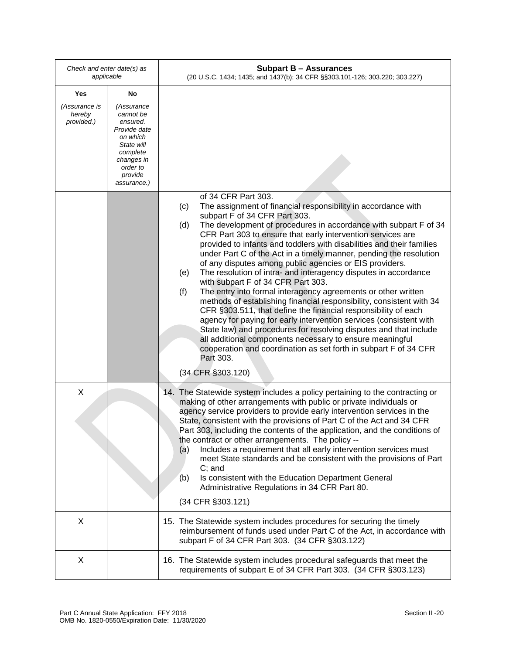| Check and enter date(s) as<br>applicable |                                                                                                                                               | <b>Subpart B - Assurances</b><br>(20 U.S.C. 1434; 1435; and 1437(b); 34 CFR §§303.101-126; 303.220; 303.227)                                                                                                                                                                                                                                                                                                                                                                                                                                                                                                                                                                                                                                                                                                                                                                                                                                                                                                                                                                                                                    |  |
|------------------------------------------|-----------------------------------------------------------------------------------------------------------------------------------------------|---------------------------------------------------------------------------------------------------------------------------------------------------------------------------------------------------------------------------------------------------------------------------------------------------------------------------------------------------------------------------------------------------------------------------------------------------------------------------------------------------------------------------------------------------------------------------------------------------------------------------------------------------------------------------------------------------------------------------------------------------------------------------------------------------------------------------------------------------------------------------------------------------------------------------------------------------------------------------------------------------------------------------------------------------------------------------------------------------------------------------------|--|
| Yes                                      | No                                                                                                                                            |                                                                                                                                                                                                                                                                                                                                                                                                                                                                                                                                                                                                                                                                                                                                                                                                                                                                                                                                                                                                                                                                                                                                 |  |
| (Assurance is<br>hereby<br>provided.)    | (Assurance<br>cannot be<br>ensured.<br>Provide date<br>on which<br>State will<br>complete<br>changes in<br>order to<br>provide<br>assurance.) |                                                                                                                                                                                                                                                                                                                                                                                                                                                                                                                                                                                                                                                                                                                                                                                                                                                                                                                                                                                                                                                                                                                                 |  |
|                                          |                                                                                                                                               | of 34 CFR Part 303.<br>The assignment of financial responsibility in accordance with<br>(c)<br>subpart F of 34 CFR Part 303.<br>The development of procedures in accordance with subpart F of 34<br>(d)<br>CFR Part 303 to ensure that early intervention services are<br>provided to infants and toddlers with disabilities and their families<br>under Part C of the Act in a timely manner, pending the resolution<br>of any disputes among public agencies or EIS providers.<br>The resolution of intra- and interagency disputes in accordance<br>(e)<br>with subpart F of 34 CFR Part 303.<br>The entry into formal interagency agreements or other written<br>(f)<br>methods of establishing financial responsibility, consistent with 34<br>CFR §303.511, that define the financial responsibility of each<br>agency for paying for early intervention services (consistent with<br>State law) and procedures for resolving disputes and that include<br>all additional components necessary to ensure meaningful<br>cooperation and coordination as set forth in subpart F of 34 CFR<br>Part 303.<br>(34 CFR §303.120) |  |
| X                                        |                                                                                                                                               | 14. The Statewide system includes a policy pertaining to the contracting or<br>making of other arrangements with public or private individuals or<br>agency service providers to provide early intervention services in the<br>State, consistent with the provisions of Part C of the Act and 34 CFR<br>Part 303, including the contents of the application, and the conditions of<br>the contract or other arrangements. The policy --<br>Includes a requirement that all early intervention services must<br>(a)<br>meet State standards and be consistent with the provisions of Part<br>$C$ ; and<br>Is consistent with the Education Department General<br>(b)<br>Administrative Regulations in 34 CFR Part 80.<br>(34 CFR §303.121)                                                                                                                                                                                                                                                                                                                                                                                       |  |
| X                                        |                                                                                                                                               | 15. The Statewide system includes procedures for securing the timely<br>reimbursement of funds used under Part C of the Act, in accordance with<br>subpart F of 34 CFR Part 303. (34 CFR §303.122)                                                                                                                                                                                                                                                                                                                                                                                                                                                                                                                                                                                                                                                                                                                                                                                                                                                                                                                              |  |
| X                                        |                                                                                                                                               | 16. The Statewide system includes procedural safeguards that meet the<br>requirements of subpart E of 34 CFR Part 303. (34 CFR §303.123)                                                                                                                                                                                                                                                                                                                                                                                                                                                                                                                                                                                                                                                                                                                                                                                                                                                                                                                                                                                        |  |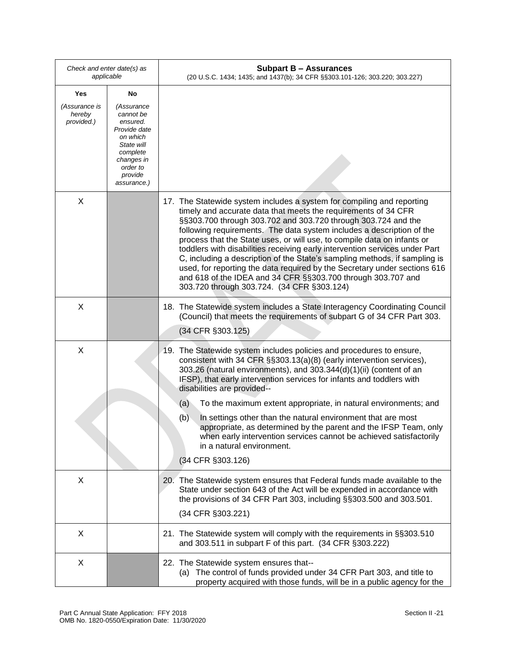| Check and enter date(s) as<br>applicable |                                                                                                                                               | <b>Subpart B - Assurances</b><br>(20 U.S.C. 1434; 1435; and 1437(b); 34 CFR §§303.101-126; 303.220; 303.227)                                                                                                                                                                                                                                                                                                                                                                                                                                                                                                                                                                                                          |
|------------------------------------------|-----------------------------------------------------------------------------------------------------------------------------------------------|-----------------------------------------------------------------------------------------------------------------------------------------------------------------------------------------------------------------------------------------------------------------------------------------------------------------------------------------------------------------------------------------------------------------------------------------------------------------------------------------------------------------------------------------------------------------------------------------------------------------------------------------------------------------------------------------------------------------------|
| Yes                                      | No                                                                                                                                            |                                                                                                                                                                                                                                                                                                                                                                                                                                                                                                                                                                                                                                                                                                                       |
| (Assurance is<br>hereby<br>provided.)    | (Assurance<br>cannot be<br>ensured.<br>Provide date<br>on which<br>State will<br>complete<br>changes in<br>order to<br>provide<br>assurance.) |                                                                                                                                                                                                                                                                                                                                                                                                                                                                                                                                                                                                                                                                                                                       |
| X                                        |                                                                                                                                               | 17. The Statewide system includes a system for compiling and reporting<br>timely and accurate data that meets the requirements of 34 CFR<br>§§303.700 through 303.702 and 303.720 through 303.724 and the<br>following requirements. The data system includes a description of the<br>process that the State uses, or will use, to compile data on infants or<br>toddlers with disabilities receiving early intervention services under Part<br>C, including a description of the State's sampling methods, if sampling is<br>used, for reporting the data required by the Secretary under sections 616<br>and 618 of the IDEA and 34 CFR §§303.700 through 303.707 and<br>303.720 through 303.724. (34 CFR §303.124) |
| X                                        |                                                                                                                                               | 18. The Statewide system includes a State Interagency Coordinating Council<br>(Council) that meets the requirements of subpart G of 34 CFR Part 303.<br>(34 CFR §303.125)                                                                                                                                                                                                                                                                                                                                                                                                                                                                                                                                             |
| X                                        |                                                                                                                                               | 19. The Statewide system includes policies and procedures to ensure,<br>consistent with 34 CFR §§303.13(a)(8) (early intervention services),<br>303.26 (natural environments), and 303.344(d)(1)(ii) (content of an<br>IFSP), that early intervention services for infants and toddlers with<br>disabilities are provided--<br>(a)<br>To the maximum extent appropriate, in natural environments; and<br>(b)<br>In settings other than the natural environment that are most<br>appropriate, as determined by the parent and the IFSP Team, only<br>when early intervention services cannot be achieved satisfactorily                                                                                                |
|                                          |                                                                                                                                               | in a natural environment.<br>(34 CFR §303.126)                                                                                                                                                                                                                                                                                                                                                                                                                                                                                                                                                                                                                                                                        |
| X                                        |                                                                                                                                               | 20. The Statewide system ensures that Federal funds made available to the<br>State under section 643 of the Act will be expended in accordance with<br>the provisions of 34 CFR Part 303, including §§303.500 and 303.501.<br>(34 CFR §303.221)                                                                                                                                                                                                                                                                                                                                                                                                                                                                       |
| X                                        |                                                                                                                                               | 21. The Statewide system will comply with the requirements in §§303.510<br>and 303.511 in subpart F of this part. (34 CFR §303.222)                                                                                                                                                                                                                                                                                                                                                                                                                                                                                                                                                                                   |
| X                                        |                                                                                                                                               | 22. The Statewide system ensures that--<br>(a) The control of funds provided under 34 CFR Part 303, and title to<br>property acquired with those funds, will be in a public agency for the                                                                                                                                                                                                                                                                                                                                                                                                                                                                                                                            |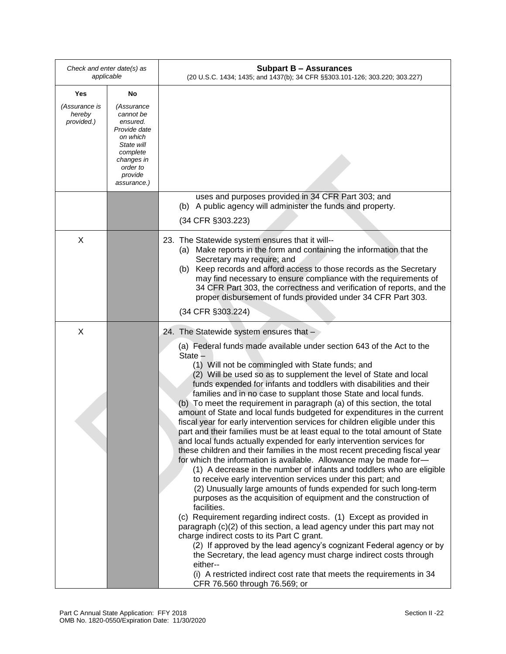| Check and enter date(s) as<br>applicable |                                                                                                                                               | <b>Subpart B - Assurances</b><br>(20 U.S.C. 1434; 1435; and 1437(b); 34 CFR §§303.101-126; 303.220; 303.227)                                                                                                                                                                                                                                                                                                                                                                                                                                                                                                                                                                                                                                                                                                                                                                                                                                                                                                                                                                                                                                                                                                                                                                                                                                                                                                                                                                                                                                                                                                                                                            |
|------------------------------------------|-----------------------------------------------------------------------------------------------------------------------------------------------|-------------------------------------------------------------------------------------------------------------------------------------------------------------------------------------------------------------------------------------------------------------------------------------------------------------------------------------------------------------------------------------------------------------------------------------------------------------------------------------------------------------------------------------------------------------------------------------------------------------------------------------------------------------------------------------------------------------------------------------------------------------------------------------------------------------------------------------------------------------------------------------------------------------------------------------------------------------------------------------------------------------------------------------------------------------------------------------------------------------------------------------------------------------------------------------------------------------------------------------------------------------------------------------------------------------------------------------------------------------------------------------------------------------------------------------------------------------------------------------------------------------------------------------------------------------------------------------------------------------------------------------------------------------------------|
| Yes                                      | No                                                                                                                                            |                                                                                                                                                                                                                                                                                                                                                                                                                                                                                                                                                                                                                                                                                                                                                                                                                                                                                                                                                                                                                                                                                                                                                                                                                                                                                                                                                                                                                                                                                                                                                                                                                                                                         |
| (Assurance is<br>hereby<br>provided.)    | (Assurance<br>cannot be<br>ensured.<br>Provide date<br>on which<br>State will<br>complete<br>changes in<br>order to<br>provide<br>assurance.) |                                                                                                                                                                                                                                                                                                                                                                                                                                                                                                                                                                                                                                                                                                                                                                                                                                                                                                                                                                                                                                                                                                                                                                                                                                                                                                                                                                                                                                                                                                                                                                                                                                                                         |
|                                          |                                                                                                                                               | uses and purposes provided in 34 CFR Part 303; and<br>A public agency will administer the funds and property.<br>(b)                                                                                                                                                                                                                                                                                                                                                                                                                                                                                                                                                                                                                                                                                                                                                                                                                                                                                                                                                                                                                                                                                                                                                                                                                                                                                                                                                                                                                                                                                                                                                    |
|                                          |                                                                                                                                               | (34 CFR §303.223)                                                                                                                                                                                                                                                                                                                                                                                                                                                                                                                                                                                                                                                                                                                                                                                                                                                                                                                                                                                                                                                                                                                                                                                                                                                                                                                                                                                                                                                                                                                                                                                                                                                       |
| X                                        |                                                                                                                                               | 23. The Statewide system ensures that it will--<br>(a) Make reports in the form and containing the information that the<br>Secretary may require; and<br>(b) Keep records and afford access to those records as the Secretary<br>may find necessary to ensure compliance with the requirements of<br>34 CFR Part 303, the correctness and verification of reports, and the<br>proper disbursement of funds provided under 34 CFR Part 303.<br>(34 CFR §303.224)                                                                                                                                                                                                                                                                                                                                                                                                                                                                                                                                                                                                                                                                                                                                                                                                                                                                                                                                                                                                                                                                                                                                                                                                         |
| X                                        |                                                                                                                                               | 24. The Statewide system ensures that -                                                                                                                                                                                                                                                                                                                                                                                                                                                                                                                                                                                                                                                                                                                                                                                                                                                                                                                                                                                                                                                                                                                                                                                                                                                                                                                                                                                                                                                                                                                                                                                                                                 |
|                                          |                                                                                                                                               | (a) Federal funds made available under section 643 of the Act to the<br>State -<br>(1) Will not be commingled with State funds; and<br>(2) Will be used so as to supplement the level of State and local<br>funds expended for infants and toddlers with disabilities and their<br>families and in no case to supplant those State and local funds.<br>(b) To meet the requirement in paragraph (a) of this section, the total<br>amount of State and local funds budgeted for expenditures in the current<br>fiscal year for early intervention services for children eligible under this<br>part and their families must be at least equal to the total amount of State<br>and local funds actually expended for early intervention services for<br>these children and their families in the most recent preceding fiscal year<br>for which the information is available. Allowance may be made for-<br>(1) A decrease in the number of infants and toddlers who are eligible<br>to receive early intervention services under this part; and<br>(2) Unusually large amounts of funds expended for such long-term<br>purposes as the acquisition of equipment and the construction of<br>facilities.<br>(c) Requirement regarding indirect costs. (1) Except as provided in<br>paragraph (c)(2) of this section, a lead agency under this part may not<br>charge indirect costs to its Part C grant.<br>(2) If approved by the lead agency's cognizant Federal agency or by<br>the Secretary, the lead agency must charge indirect costs through<br>either--<br>(i) A restricted indirect cost rate that meets the requirements in 34<br>CFR 76.560 through 76.569; or |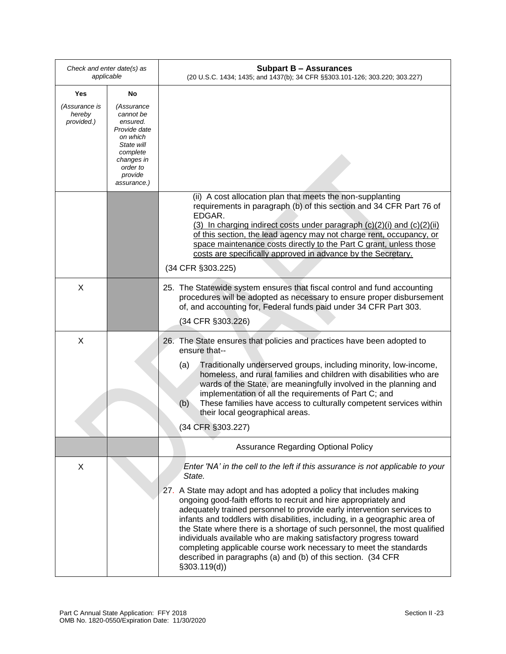| Check and enter date(s) as<br>applicable |                                                                                                                                               | <b>Subpart B - Assurances</b><br>(20 U.S.C. 1434; 1435; and 1437(b); 34 CFR §§303.101-126; 303.220; 303.227)                                                                                                                                                                                                                                                                                                                                                                                                                                                                                                                                                                                        |
|------------------------------------------|-----------------------------------------------------------------------------------------------------------------------------------------------|-----------------------------------------------------------------------------------------------------------------------------------------------------------------------------------------------------------------------------------------------------------------------------------------------------------------------------------------------------------------------------------------------------------------------------------------------------------------------------------------------------------------------------------------------------------------------------------------------------------------------------------------------------------------------------------------------------|
| Yes                                      | No                                                                                                                                            |                                                                                                                                                                                                                                                                                                                                                                                                                                                                                                                                                                                                                                                                                                     |
| (Assurance is<br>hereby<br>provided.)    | (Assurance<br>cannot be<br>ensured.<br>Provide date<br>on which<br>State will<br>complete<br>changes in<br>order to<br>provide<br>assurance.) |                                                                                                                                                                                                                                                                                                                                                                                                                                                                                                                                                                                                                                                                                                     |
|                                          |                                                                                                                                               | (ii) A cost allocation plan that meets the non-supplanting<br>requirements in paragraph (b) of this section and 34 CFR Part 76 of<br>EDGAR.<br>(3) In charging indirect costs under paragraph $(c)(2)(i)$ and $(c)(2)(ii)$<br>of this section, the lead agency may not charge rent, occupancy, or<br>space maintenance costs directly to the Part C grant, unless those<br>costs are specifically approved in advance by the Secretary.<br>(34 CFR §303.225)                                                                                                                                                                                                                                        |
| X                                        |                                                                                                                                               | 25. The Statewide system ensures that fiscal control and fund accounting<br>procedures will be adopted as necessary to ensure proper disbursement<br>of, and accounting for, Federal funds paid under 34 CFR Part 303.<br>(34 CFR §303.226)                                                                                                                                                                                                                                                                                                                                                                                                                                                         |
| X                                        |                                                                                                                                               | 26. The State ensures that policies and practices have been adopted to<br>ensure that--<br>Traditionally underserved groups, including minority, low-income,<br>(a)<br>homeless, and rural families and children with disabilities who are<br>wards of the State, are meaningfully involved in the planning and<br>implementation of all the requirements of Part C; and<br>These families have access to culturally competent services within<br>(b)<br>their local geographical areas.<br>(34 CFR §303.227)                                                                                                                                                                                       |
|                                          |                                                                                                                                               | <b>Assurance Regarding Optional Policy</b>                                                                                                                                                                                                                                                                                                                                                                                                                                                                                                                                                                                                                                                          |
| X                                        |                                                                                                                                               | Enter 'NA' in the cell to the left if this assurance is not applicable to your<br>State.<br>27. A State may adopt and has adopted a policy that includes making<br>ongoing good-faith efforts to recruit and hire appropriately and<br>adequately trained personnel to provide early intervention services to<br>infants and toddlers with disabilities, including, in a geographic area of<br>the State where there is a shortage of such personnel, the most qualified<br>individuals available who are making satisfactory progress toward<br>completing applicable course work necessary to meet the standards<br>described in paragraphs (a) and (b) of this section. (34 CFR<br>\$303.119(d)] |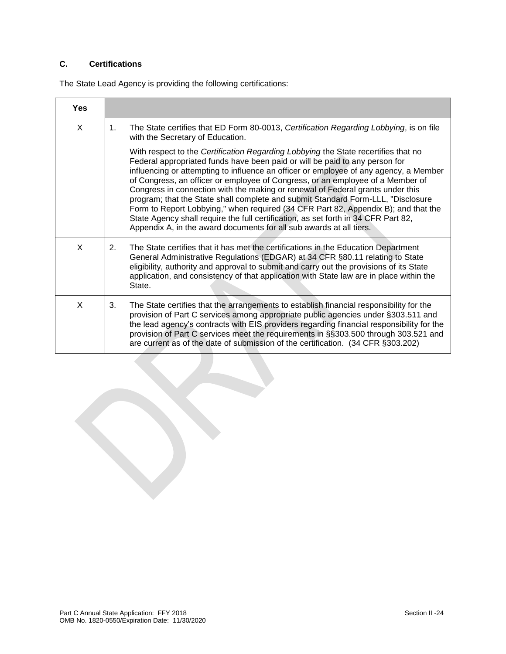# **C. Certifications**

The State Lead Agency is providing the following certifications:

| <b>Yes</b> |                                                                                                                                                                                                                                                                                                                                                                                                                                                                                                                                                                                                                                                                                                                                                                       |
|------------|-----------------------------------------------------------------------------------------------------------------------------------------------------------------------------------------------------------------------------------------------------------------------------------------------------------------------------------------------------------------------------------------------------------------------------------------------------------------------------------------------------------------------------------------------------------------------------------------------------------------------------------------------------------------------------------------------------------------------------------------------------------------------|
| X          | The State certifies that ED Form 80-0013, Certification Regarding Lobbying, is on file<br>1.<br>with the Secretary of Education.                                                                                                                                                                                                                                                                                                                                                                                                                                                                                                                                                                                                                                      |
|            | With respect to the Certification Regarding Lobbying the State recertifies that no<br>Federal appropriated funds have been paid or will be paid to any person for<br>influencing or attempting to influence an officer or employee of any agency, a Member<br>of Congress, an officer or employee of Congress, or an employee of a Member of<br>Congress in connection with the making or renewal of Federal grants under this<br>program; that the State shall complete and submit Standard Form-LLL, "Disclosure<br>Form to Report Lobbying," when required (34 CFR Part 82, Appendix B); and that the<br>State Agency shall require the full certification, as set forth in 34 CFR Part 82,<br>Appendix A, in the award documents for all sub awards at all tiers. |
| X          | The State certifies that it has met the certifications in the Education Department<br>2.<br>General Administrative Regulations (EDGAR) at 34 CFR §80.11 relating to State<br>eligibility, authority and approval to submit and carry out the provisions of its State<br>application, and consistency of that application with State law are in place within the<br>State.                                                                                                                                                                                                                                                                                                                                                                                             |
| X          | The State certifies that the arrangements to establish financial responsibility for the<br>3.<br>provision of Part C services among appropriate public agencies under §303.511 and<br>the lead agency's contracts with EIS providers regarding financial responsibility for the<br>provision of Part C services meet the requirements in §§303.500 through 303.521 and<br>are current as of the date of submission of the certification. (34 CFR §303.202)                                                                                                                                                                                                                                                                                                            |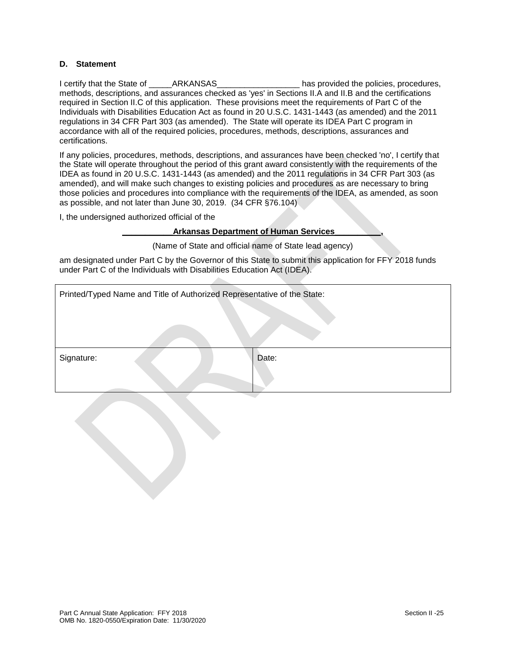#### **D. Statement**

I certify that the State of \_\_\_\_\_ARKANSAS\_\_\_\_\_\_\_\_\_\_\_\_\_\_\_\_\_\_ has provided the policies, procedures, methods, descriptions, and assurances checked as 'yes' in Sections II.A and II.B and the certifications required in Section II.C of this application. These provisions meet the requirements of Part C of the Individuals with Disabilities Education Act as found in 20 U.S.C. 1431-1443 (as amended) and the 2011 regulations in 34 CFR Part 303 (as amended). The State will operate its IDEA Part C program in accordance with all of the required policies, procedures, methods, descriptions, assurances and certifications.

If any policies, procedures, methods, descriptions, and assurances have been checked 'no', I certify that the State will operate throughout the period of this grant award consistently with the requirements of the IDEA as found in 20 U.S.C. 1431-1443 (as amended) and the 2011 regulations in 34 CFR Part 303 (as amended), and will make such changes to existing policies and procedures as are necessary to bring those policies and procedures into compliance with the requirements of the IDEA, as amended, as soon as possible, and not later than June 30, 2019. (34 CFR §76.104)

I, the undersigned authorized official of the

**\_\_\_\_\_\_\_\_\_\_\_Arkansas Department of Human Services\_\_\_\_\_\_\_\_\_\_,**

(Name of State and official name of State lead agency)

am designated under Part C by the Governor of this State to submit this application for FFY 2018 funds under Part C of the Individuals with Disabilities Education Act (IDEA).

| Printed/Typed Name and Title of Authorized Representative of the State: |       |
|-------------------------------------------------------------------------|-------|
| Signature:                                                              | Date: |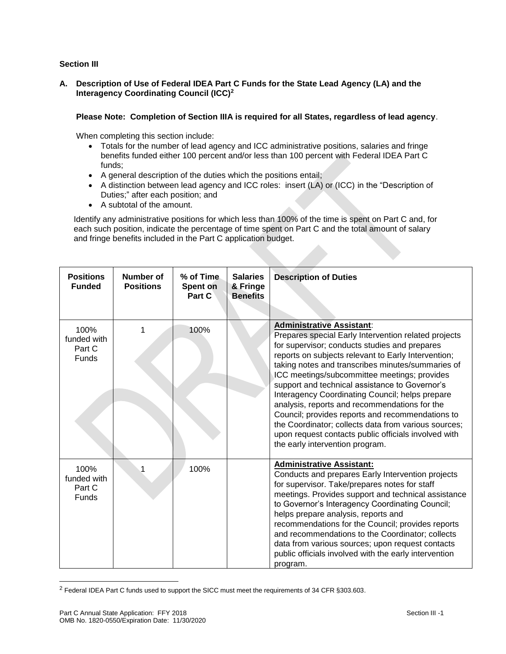### **Section III**

### **A. Description of Use of Federal IDEA Part C Funds for the State Lead Agency (LA) and the Interagency Coordinating Council (ICC)<sup>2</sup>**

### **Please Note: Completion of Section IIIA is required for all States, regardless of lead agency**.

When completing this section include:

- Totals for the number of lead agency and ICC administrative positions, salaries and fringe benefits funded either 100 percent and/or less than 100 percent with Federal IDEA Part C funds;
- A general description of the duties which the positions entail;
- A distinction between lead agency and ICC roles: insert (LA) or (ICC) in the "Description of Duties;" after each position; and
- A subtotal of the amount.

Identify any administrative positions for which less than 100% of the time is spent on Part C and, for each such position, indicate the percentage of time spent on Part C and the total amount of salary and fringe benefits included in the Part C application budget.

| <b>Positions</b><br><b>Funded</b>             | Number of<br><b>Positions</b> | % of Time<br>Spent on<br>Part C | <b>Salaries</b><br>& Fringe<br><b>Benefits</b> | <b>Description of Duties</b>                                                                                                                                                                                                                                                                                                                                                                                                                                                                                                                                                                                                                                       |
|-----------------------------------------------|-------------------------------|---------------------------------|------------------------------------------------|--------------------------------------------------------------------------------------------------------------------------------------------------------------------------------------------------------------------------------------------------------------------------------------------------------------------------------------------------------------------------------------------------------------------------------------------------------------------------------------------------------------------------------------------------------------------------------------------------------------------------------------------------------------------|
| 100%<br>funded with<br>Part C<br><b>Funds</b> |                               | 100%                            |                                                | <b>Administrative Assistant:</b><br>Prepares special Early Intervention related projects<br>for supervisor; conducts studies and prepares<br>reports on subjects relevant to Early Intervention;<br>taking notes and transcribes minutes/summaries of<br>ICC meetings/subcommittee meetings; provides<br>support and technical assistance to Governor's<br>Interagency Coordinating Council; helps prepare<br>analysis, reports and recommendations for the<br>Council; provides reports and recommendations to<br>the Coordinator; collects data from various sources;<br>upon request contacts public officials involved with<br>the early intervention program. |
| 100%<br>funded with<br>Part C<br>Funds        | 1                             | 100%                            |                                                | <b>Administrative Assistant:</b><br>Conducts and prepares Early Intervention projects<br>for supervisor. Take/prepares notes for staff<br>meetings. Provides support and technical assistance<br>to Governor's Interagency Coordinating Council;<br>helps prepare analysis, reports and<br>recommendations for the Council; provides reports<br>and recommendations to the Coordinator; collects<br>data from various sources; upon request contacts<br>public officials involved with the early intervention<br>program.                                                                                                                                          |

<sup>&</sup>lt;sup>2</sup> Federal IDEA Part C funds used to support the SICC must meet the requirements of 34 CFR §303.603.

l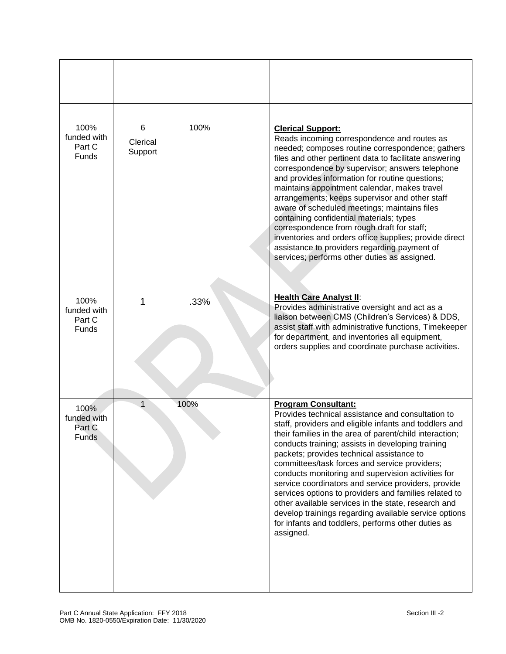| 100%<br>funded with<br>Part C<br>Funds        | 6<br>Clerical<br>Support | 100% | <b>Clerical Support:</b><br>Reads incoming correspondence and routes as<br>needed; composes routine correspondence; gathers<br>files and other pertinent data to facilitate answering<br>correspondence by supervisor; answers telephone<br>and provides information for routine questions;<br>maintains appointment calendar, makes travel<br>arrangements; keeps supervisor and other staff<br>aware of scheduled meetings; maintains files<br>containing confidential materials; types<br>correspondence from rough draft for staff;<br>inventories and orders office supplies; provide direct<br>assistance to providers regarding payment of<br>services; performs other duties as assigned.                |
|-----------------------------------------------|--------------------------|------|------------------------------------------------------------------------------------------------------------------------------------------------------------------------------------------------------------------------------------------------------------------------------------------------------------------------------------------------------------------------------------------------------------------------------------------------------------------------------------------------------------------------------------------------------------------------------------------------------------------------------------------------------------------------------------------------------------------|
| 100%<br>funded with<br>Part C<br>Funds        | 1                        | .33% | <b>Health Care Analyst II:</b><br>Provides administrative oversight and act as a<br>liaison between CMS (Children's Services) & DDS,<br>assist staff with administrative functions, Timekeeper<br>for department, and inventories all equipment,<br>orders supplies and coordinate purchase activities.                                                                                                                                                                                                                                                                                                                                                                                                          |
| 100%<br>funded with<br>Part C<br><b>Funds</b> | 1                        | 100% | <b>Program Consultant:</b><br>Provides technical assistance and consultation to<br>staff, providers and eligible infants and toddlers and<br>their families in the area of parent/child interaction;<br>conducts training; assists in developing training<br>packets; provides technical assistance to<br>committees/task forces and service providers;<br>conducts monitoring and supervision activities for<br>service coordinators and service providers, provide<br>services options to providers and families related to<br>other available services in the state, research and<br>develop trainings regarding available service options<br>for infants and toddlers, performs other duties as<br>assigned. |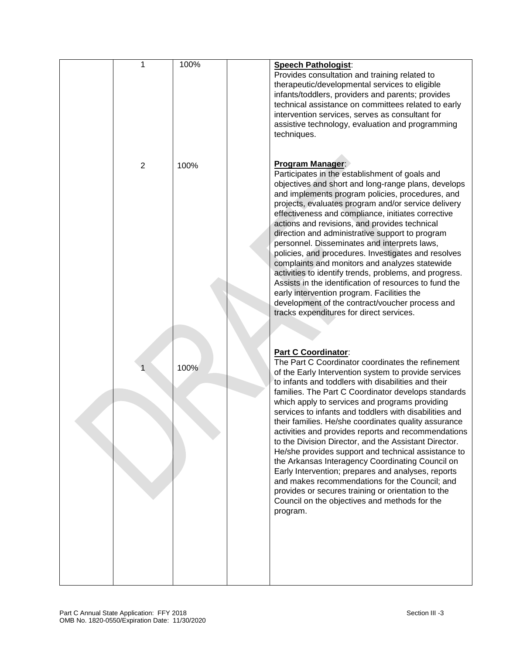| 1              | 100% | <b>Speech Pathologist:</b><br>Provides consultation and training related to<br>therapeutic/developmental services to eligible<br>infants/toddlers, providers and parents; provides<br>technical assistance on committees related to early<br>intervention services, serves as consultant for<br>assistive technology, evaluation and programming<br>techniques.                                                                                                                                                                                                                                                                                                                                                                                                                                                                                                                 |
|----------------|------|---------------------------------------------------------------------------------------------------------------------------------------------------------------------------------------------------------------------------------------------------------------------------------------------------------------------------------------------------------------------------------------------------------------------------------------------------------------------------------------------------------------------------------------------------------------------------------------------------------------------------------------------------------------------------------------------------------------------------------------------------------------------------------------------------------------------------------------------------------------------------------|
| $\overline{2}$ | 100% | Program Manager:<br>Participates in the establishment of goals and<br>objectives and short and long-range plans, develops<br>and implements program policies, procedures, and<br>projects, evaluates program and/or service delivery<br>effectiveness and compliance, initiates corrective<br>actions and revisions, and provides technical<br>direction and administrative support to program<br>personnel. Disseminates and interprets laws,<br>policies, and procedures. Investigates and resolves<br>complaints and monitors and analyzes statewide<br>activities to identify trends, problems, and progress.<br>Assists in the identification of resources to fund the<br>early intervention program. Facilities the<br>development of the contract/voucher process and<br>tracks expenditures for direct services.                                                        |
|                | 100% | <b>Part C Coordinator:</b><br>The Part C Coordinator coordinates the refinement<br>of the Early Intervention system to provide services<br>to infants and toddlers with disabilities and their<br>families. The Part C Coordinator develops standards<br>which apply to services and programs providing<br>services to infants and toddlers with disabilities and<br>their families. He/she coordinates quality assurance<br>activities and provides reports and recommendations<br>to the Division Director, and the Assistant Director.<br>He/she provides support and technical assistance to<br>the Arkansas Interagency Coordinating Council on<br>Early Intervention; prepares and analyses, reports<br>and makes recommendations for the Council; and<br>provides or secures training or orientation to the<br>Council on the objectives and methods for the<br>program. |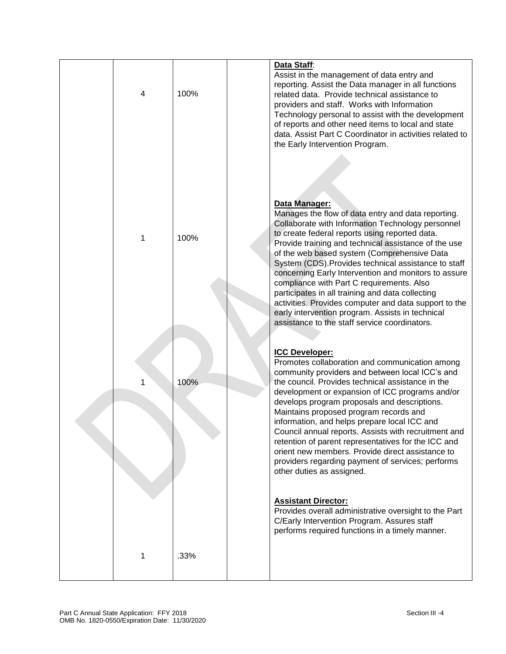| 4 | 100% | Data Staff:<br>Assist in the management of data entry and<br>reporting. Assist the Data manager in all functions<br>related data. Provide technical assistance to<br>providers and staff. Works with Information<br>Technology personal to assist with the development<br>of reports and other need items to local and state<br>data. Assist Part C Coordinator in activities related to<br>the Early Intervention Program.                                                                                                                                                                                                                                      |
|---|------|------------------------------------------------------------------------------------------------------------------------------------------------------------------------------------------------------------------------------------------------------------------------------------------------------------------------------------------------------------------------------------------------------------------------------------------------------------------------------------------------------------------------------------------------------------------------------------------------------------------------------------------------------------------|
| 1 | 100% | Data Manager:<br>Manages the flow of data entry and data reporting.<br>Collaborate with Information Technology personnel<br>to create federal reports using reported data.<br>Provide training and technical assistance of the use<br>of the web based system (Comprehensive Data<br>System (CDS). Provides technical assistance to staff<br>concerning Early Intervention and monitors to assure<br>compliance with Part C requirements. Also<br>participates in all training and data collecting<br>activities. Provides computer and data support to the<br>early intervention program. Assists in technical<br>assistance to the staff service coordinators. |
| 1 | 100% | <b>ICC Developer:</b><br>Promotes collaboration and communication among<br>community providers and between local ICC's and<br>the council. Provides technical assistance in the<br>development or expansion of ICC programs and/or<br>develops program proposals and descriptions.<br>Maintains proposed program records and<br>information, and helps prepare local ICC and<br>Council annual reports. Assists with recruitment and<br>retention of parent representatives for the ICC and<br>orient new members. Provide direct assistance to<br>providers regarding payment of services; performs<br>other duties as assigned.                                |
| 1 | .33% | <b>Assistant Director:</b><br>Provides overall administrative oversight to the Part<br>C/Early Intervention Program. Assures staff<br>performs required functions in a timely manner.                                                                                                                                                                                                                                                                                                                                                                                                                                                                            |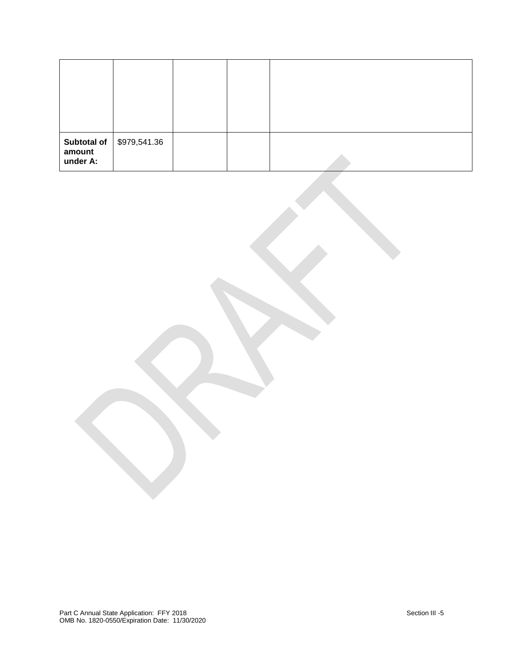| amount<br>under A: | <b>Subtotal of   \$979,541.36</b> |  |  |
|--------------------|-----------------------------------|--|--|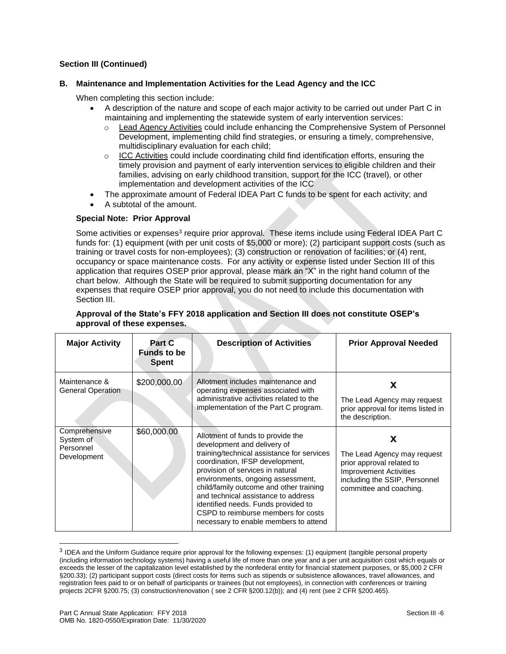#### **B. Maintenance and Implementation Activities for the Lead Agency and the ICC**

When completing this section include:

- A description of the nature and scope of each major activity to be carried out under Part C in maintaining and implementing the statewide system of early intervention services:
	- o Lead Agency Activities could include enhancing the Comprehensive System of Personnel Development, implementing child find strategies, or ensuring a timely, comprehensive, multidisciplinary evaluation for each child;
	- $\circ$  ICC Activities could include coordinating child find identification efforts, ensuring the timely provision and payment of early intervention services to eligible children and their families, advising on early childhood transition, support for the ICC (travel), or other implementation and development activities of the ICC
- The approximate amount of Federal IDEA Part C funds to be spent for each activity; and
- A subtotal of the amount.

#### **Special Note: Prior Approval**

Some activities or expenses<sup>3</sup> require prior approval. These items include using Federal IDEA Part C funds for: (1) equipment (with per unit costs of \$5,000 or more); (2) participant support costs (such as training or travel costs for non-employees); (3) construction or renovation of facilities; or (4) rent, occupancy or space maintenance costs. For any activity or expense listed under Section III of this application that requires OSEP prior approval, please mark an "X" in the right hand column of the chart below. Although the State will be required to submit supporting documentation for any expenses that require OSEP prior approval, you do not need to include this documentation with Section III.

| <b>Major Activity</b>                                  | Part C<br><b>Funds to be</b><br><b>Spent</b> | <b>Description of Activities</b>                                                                                                                                                                                                                                                                                                                                                                                                    | <b>Prior Approval Needed</b>                                                                                                                               |  |  |
|--------------------------------------------------------|----------------------------------------------|-------------------------------------------------------------------------------------------------------------------------------------------------------------------------------------------------------------------------------------------------------------------------------------------------------------------------------------------------------------------------------------------------------------------------------------|------------------------------------------------------------------------------------------------------------------------------------------------------------|--|--|
| Maintenance &<br><b>General Operation</b>              | \$200,000.00                                 | Allotment includes maintenance and<br>operating expenses associated with<br>administrative activities related to the<br>implementation of the Part C program.                                                                                                                                                                                                                                                                       | х<br>The Lead Agency may request<br>prior approval for items listed in<br>the description.                                                                 |  |  |
| Comprehensive<br>System of<br>Personnel<br>Development | \$60,000.00                                  | Allotment of funds to provide the<br>development and delivery of<br>training/technical assistance for services<br>coordination, IFSP development,<br>provision of services in natural<br>environments, ongoing assessment,<br>child/family outcome and other training<br>and technical assistance to address<br>identified needs. Funds provided to<br>CSPD to reimburse members for costs<br>necessary to enable members to attend | X<br>The Lead Agency may request<br>prior approval related to<br><b>Improvement Activities</b><br>including the SSIP, Personnel<br>committee and coaching. |  |  |

#### **Approval of the State's FFY 2018 application and Section III does not constitute OSEP's approval of these expenses.**

l

<sup>&</sup>lt;sup>3</sup> IDEA and the Uniform Guidance require prior approval for the following expenses: (1) equipment (tangible personal property (including information technology systems) having a useful life of more than one year and a per unit acquisition cost which equals or exceeds the lesser of the capitalization level established by the nonfederal entity for financial statement purposes, or \$5,000 2 CFR §200.33); (2) participant support costs (direct costs for items such as stipends or subsistence allowances, travel allowances, and registration fees paid to or on behalf of participants or trainees (but not employees), in connection with conferences or training projects 2CFR §200.75; (3) construction/renovation ( see 2 CFR §200.12(b)); and (4) rent (see 2 CFR §200.465).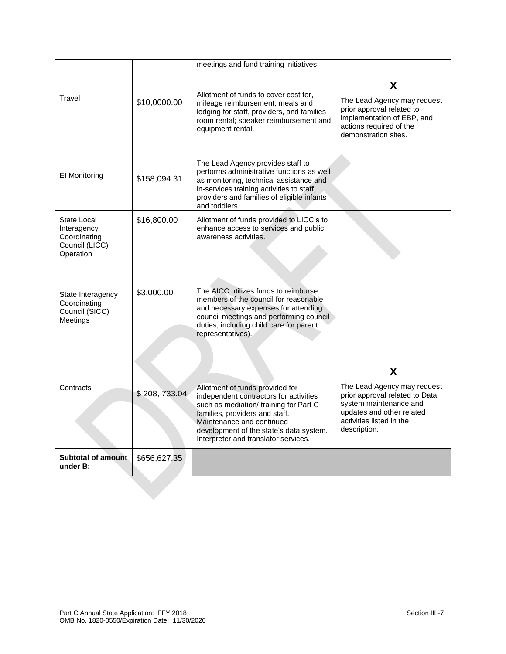|                                                                           |              | meetings and fund training initiatives.                                                                                                                                                                                                                               |                                                                                                                                                                       |
|---------------------------------------------------------------------------|--------------|-----------------------------------------------------------------------------------------------------------------------------------------------------------------------------------------------------------------------------------------------------------------------|-----------------------------------------------------------------------------------------------------------------------------------------------------------------------|
| Travel                                                                    | \$10,0000.00 | Allotment of funds to cover cost for,<br>mileage reimbursement, meals and<br>lodging for staff, providers, and families<br>room rental; speaker reimbursement and<br>equipment rental.                                                                                | X<br>The Lead Agency may request<br>prior approval related to<br>implementation of EBP, and<br>actions required of the<br>demonstration sites.                        |
| El Monitoring                                                             | \$158,094.31 | The Lead Agency provides staff to<br>performs administrative functions as well<br>as monitoring, technical assistance and<br>in-services training activities to staff,<br>providers and families of eligible infants<br>and toddlers.                                 |                                                                                                                                                                       |
| State Local<br>Interagency<br>Coordinating<br>Council (LICC)<br>Operation | \$16,800.00  | Allotment of funds provided to LICC's to<br>enhance access to services and public<br>awareness activities.                                                                                                                                                            |                                                                                                                                                                       |
| State Interagency<br>Coordinating<br>Council (SICC)<br>Meetings           | \$3,000.00   | The AICC utilizes funds to reimburse<br>members of the council for reasonable<br>and necessary expenses for attending<br>council meetings and performing council<br>duties, including child care for parent<br>representatives).                                      |                                                                                                                                                                       |
| Contracts                                                                 | \$208,733.04 | Allotment of funds provided for<br>independent contractors for activities<br>such as mediation/ training for Part C<br>families, providers and staff.<br>Maintenance and continued<br>development of the state's data system.<br>Interpreter and translator services. | X<br>The Lead Agency may request<br>prior approval related to Data<br>system maintenance and<br>updates and other related<br>activities listed in the<br>description. |
| <b>Subtotal of amount</b><br>under B:                                     | \$656,627.35 |                                                                                                                                                                                                                                                                       |                                                                                                                                                                       |
|                                                                           |              |                                                                                                                                                                                                                                                                       |                                                                                                                                                                       |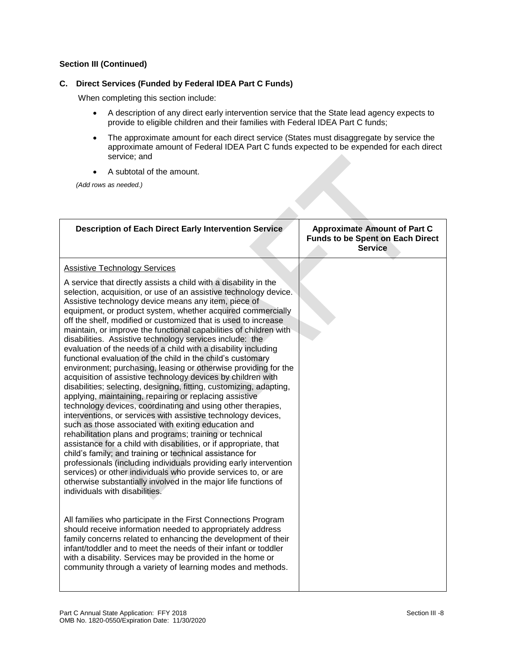### **C. Direct Services (Funded by Federal IDEA Part C Funds)**

When completing this section include:

- A description of any direct early intervention service that the State lead agency expects to provide to eligible children and their families with Federal IDEA Part C funds;
- The approximate amount for each direct service (States must disaggregate by service the approximate amount of Federal IDEA Part C funds expected to be expended for each direct service; and
- A subtotal of the amount.

*(Add rows as needed.)*

| <b>Description of Each Direct Early Intervention Service</b>                                                                                                                                                                                                                                                                                                                                                                                                                                                                                                                                                                                                                                                                                                                                                                                                                                                                                                                                                                                                                                                                                                                                                                                                                                                                                                                                                                                                                                          | <b>Approximate Amount of Part C</b><br><b>Funds to be Spent on Each Direct</b><br><b>Service</b> |
|-------------------------------------------------------------------------------------------------------------------------------------------------------------------------------------------------------------------------------------------------------------------------------------------------------------------------------------------------------------------------------------------------------------------------------------------------------------------------------------------------------------------------------------------------------------------------------------------------------------------------------------------------------------------------------------------------------------------------------------------------------------------------------------------------------------------------------------------------------------------------------------------------------------------------------------------------------------------------------------------------------------------------------------------------------------------------------------------------------------------------------------------------------------------------------------------------------------------------------------------------------------------------------------------------------------------------------------------------------------------------------------------------------------------------------------------------------------------------------------------------------|--------------------------------------------------------------------------------------------------|
| <b>Assistive Technology Services</b>                                                                                                                                                                                                                                                                                                                                                                                                                                                                                                                                                                                                                                                                                                                                                                                                                                                                                                                                                                                                                                                                                                                                                                                                                                                                                                                                                                                                                                                                  |                                                                                                  |
| A service that directly assists a child with a disability in the<br>selection, acquisition, or use of an assistive technology device.<br>Assistive technology device means any item, piece of<br>equipment, or product system, whether acquired commercially<br>off the shelf, modified or customized that is used to increase<br>maintain, or improve the functional capabilities of children with<br>disabilities. Assistive technology services include: the<br>evaluation of the needs of a child with a disability including<br>functional evaluation of the child in the child's customary<br>environment; purchasing, leasing or otherwise providing for the<br>acquisition of assistive technology devices by children with<br>disabilities; selecting, designing, fitting, customizing, adapting,<br>applying, maintaining, repairing or replacing assistive<br>technology devices, coordinating and using other therapies,<br>interventions, or services with assistive technology devices,<br>such as those associated with exiting education and<br>rehabilitation plans and programs; training or technical<br>assistance for a child with disabilities, or if appropriate, that<br>child's family; and training or technical assistance for<br>professionals (including individuals providing early intervention<br>services) or other individuals who provide services to, or are<br>otherwise substantially involved in the major life functions of<br>individuals with disabilities. |                                                                                                  |
| All families who participate in the First Connections Program<br>should receive information needed to appropriately address<br>family concerns related to enhancing the development of their<br>infant/toddler and to meet the needs of their infant or toddler<br>with a disability. Services may be provided in the home or<br>community through a variety of learning modes and methods.                                                                                                                                                                                                                                                                                                                                                                                                                                                                                                                                                                                                                                                                                                                                                                                                                                                                                                                                                                                                                                                                                                           |                                                                                                  |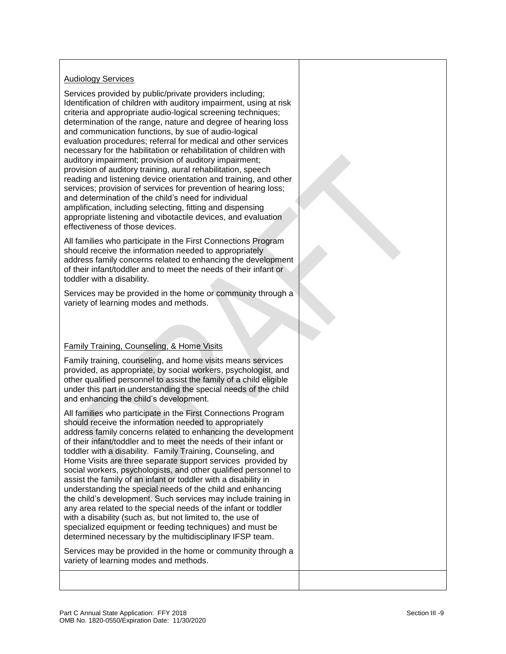# Audiology Services

Services provided by public/private providers including; Identification of children with auditory impairment, using at risk criteria and appropriate audio-logical screening techniques; determination of the range, nature and degree of hearing loss and communication functions, by sue of audio-logical evaluation procedures; referral for medical and other services necessary for the habilitation or rehabilitation of children with auditory impairment; provision of auditory impairment; provision of auditory training, aural rehabilitation, speech reading and listening device orientation and training, and other services; provision of services for prevention of hearing loss; and determination of the child's need for individual amplification, including selecting, fitting and dispensing appropriate listening and vibotactile devices, and evaluation effectiveness of those devices.

All families who participate in the First Connections Program should receive the information needed to appropriately address family concerns related to enhancing the development of their infant/toddler and to meet the needs of their infant or toddler with a disability.

Services may be provided in the home or community through a variety of learning modes and methods.

# Family Training, Counseling, & Home Visits

Family training, counseling, and home visits means services provided, as appropriate, by social workers, psychologist, and other qualified personnel to assist the family of a child eligible under this part in understanding the special needs of the child and enhancing the child's development.

All families who participate in the First Connections Program should receive the information needed to appropriately address family concerns related to enhancing the development of their infant/toddler and to meet the needs of their infant or toddler with a disability. Family Training, Counseling, and Home Visits are three separate support services provided by social workers, psychologists, and other qualified personnel to assist the family of an infant or toddler with a disability in understanding the special needs of the child and enhancing the child's development. Such services may include training in any area related to the special needs of the infant or toddler with a disability (such as, but not limited to, the use of specialized equipment or feeding techniques) and must be determined necessary by the multidisciplinary IFSP team.

Services may be provided in the home or community through a variety of learning modes and methods.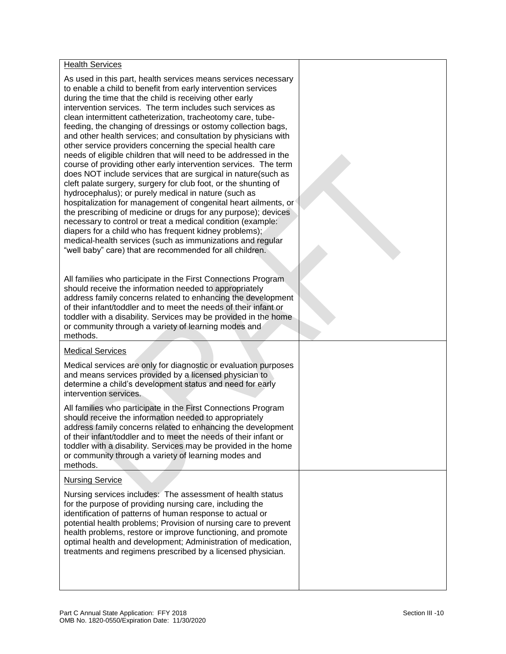### Health Services

As used in this part, health services means services necessary to enable a child to benefit from early intervention services during the time that the child is receiving other early intervention services. The term includes such services as clean intermittent catheterization, tracheotomy care, tubefeeding, the changing of dressings or ostomy collection bags, and other health services; and consultation by physicians with other service providers concerning the special health care needs of eligible children that will need to be addressed in the course of providing other early intervention services. The term does NOT include services that are surgical in nature(such as cleft palate surgery, surgery for club foot, or the shunting of hydrocephalus); or purely medical in nature (such as hospitalization for management of congenital heart ailments, or the prescribing of medicine or drugs for any purpose); devices necessary to control or treat a medical condition (example: diapers for a child who has frequent kidney problems); medical-health services (such as immunizations and regular "well baby" care) that are recommended for all children.

All families who participate in the First Connections Program should receive the information needed to appropriately address family concerns related to enhancing the development of their infant/toddler and to meet the needs of their infant or toddler with a disability. Services may be provided in the home or community through a variety of learning modes and methods.

#### Medical Services

Medical services are only for diagnostic or evaluation purposes and means services provided by a licensed physician to determine a child's development status and need for early intervention services.

All families who participate in the First Connections Program should receive the information needed to appropriately address family concerns related to enhancing the development of their infant/toddler and to meet the needs of their infant or toddler with a disability. Services may be provided in the home or community through a variety of learning modes and methods.

#### Nursing Service

Nursing services includes: The assessment of health status for the purpose of providing nursing care, including the identification of patterns of human response to actual or potential health problems; Provision of nursing care to prevent health problems, restore or improve functioning, and promote optimal health and development; Administration of medication, treatments and regimens prescribed by a licensed physician.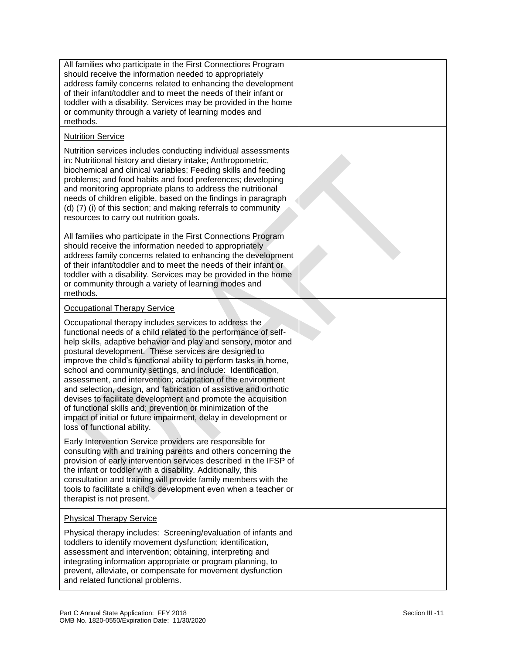| All families who participate in the First Connections Program<br>should receive the information needed to appropriately<br>address family concerns related to enhancing the development<br>of their infant/toddler and to meet the needs of their infant or<br>toddler with a disability. Services may be provided in the home<br>or community through a variety of learning modes and<br>methods.                                                                                                                                                                                                                                                                                                                                                         |  |
|------------------------------------------------------------------------------------------------------------------------------------------------------------------------------------------------------------------------------------------------------------------------------------------------------------------------------------------------------------------------------------------------------------------------------------------------------------------------------------------------------------------------------------------------------------------------------------------------------------------------------------------------------------------------------------------------------------------------------------------------------------|--|
| <b>Nutrition Service</b>                                                                                                                                                                                                                                                                                                                                                                                                                                                                                                                                                                                                                                                                                                                                   |  |
| Nutrition services includes conducting individual assessments<br>in: Nutritional history and dietary intake; Anthropometric,<br>biochemical and clinical variables; Feeding skills and feeding<br>problems; and food habits and food preferences; developing<br>and monitoring appropriate plans to address the nutritional<br>needs of children eligible, based on the findings in paragraph<br>(d) (7) (i) of this section; and making referrals to community<br>resources to carry out nutrition goals.                                                                                                                                                                                                                                                 |  |
| All families who participate in the First Connections Program<br>should receive the information needed to appropriately<br>address family concerns related to enhancing the development<br>of their infant/toddler and to meet the needs of their infant or<br>toddler with a disability. Services may be provided in the home<br>or community through a variety of learning modes and<br>methods.                                                                                                                                                                                                                                                                                                                                                         |  |
| <b>Occupational Therapy Service</b>                                                                                                                                                                                                                                                                                                                                                                                                                                                                                                                                                                                                                                                                                                                        |  |
| Occupational therapy includes services to address the<br>functional needs of a child related to the performance of self-<br>help skills, adaptive behavior and play and sensory, motor and<br>postural development. These services are designed to<br>improve the child's functional ability to perform tasks in home,<br>school and community settings, and include: Identification,<br>assessment, and intervention; adaptation of the environment<br>and selection, design, and fabrication of assistive and orthotic<br>devises to facilitate development and promote the acquisition<br>of functional skills and; prevention or minimization of the<br>impact of initial or future impairment, delay in development or<br>loss of functional ability. |  |
| Early Intervention Service providers are responsible for<br>consulting with and training parents and others concerning the<br>provision of early intervention services described in the IFSP of<br>the infant or toddler with a disability. Additionally, this<br>consultation and training will provide family members with the<br>tools to facilitate a child's development even when a teacher or<br>therapist is not present.                                                                                                                                                                                                                                                                                                                          |  |
| <b>Physical Therapy Service</b>                                                                                                                                                                                                                                                                                                                                                                                                                                                                                                                                                                                                                                                                                                                            |  |
| Physical therapy includes: Screening/evaluation of infants and<br>toddlers to identify movement dysfunction; identification,<br>assessment and intervention; obtaining, interpreting and<br>integrating information appropriate or program planning, to<br>prevent, alleviate, or compensate for movement dysfunction<br>and related functional problems.                                                                                                                                                                                                                                                                                                                                                                                                  |  |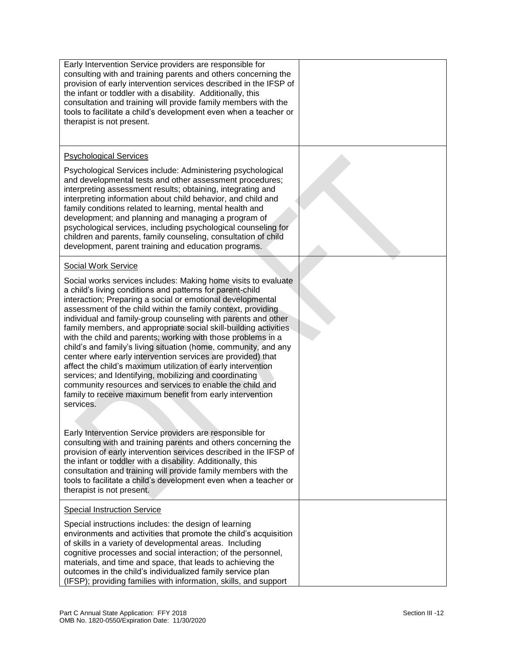| Early Intervention Service providers are responsible for<br>consulting with and training parents and others concerning the<br>provision of early intervention services described in the IFSP of<br>the infant or toddler with a disability. Additionally, this<br>consultation and training will provide family members with the<br>tools to facilitate a child's development even when a teacher or<br>therapist is not present.                                                                                                                                                                                                                                                                                                                                                                                                                                                                                                                                                                                                                                                                                                                                                                                                                                                                     |  |
|-------------------------------------------------------------------------------------------------------------------------------------------------------------------------------------------------------------------------------------------------------------------------------------------------------------------------------------------------------------------------------------------------------------------------------------------------------------------------------------------------------------------------------------------------------------------------------------------------------------------------------------------------------------------------------------------------------------------------------------------------------------------------------------------------------------------------------------------------------------------------------------------------------------------------------------------------------------------------------------------------------------------------------------------------------------------------------------------------------------------------------------------------------------------------------------------------------------------------------------------------------------------------------------------------------|--|
| <b>Psychological Services</b>                                                                                                                                                                                                                                                                                                                                                                                                                                                                                                                                                                                                                                                                                                                                                                                                                                                                                                                                                                                                                                                                                                                                                                                                                                                                         |  |
| Psychological Services include: Administering psychological<br>and developmental tests and other assessment procedures;<br>interpreting assessment results; obtaining, integrating and<br>interpreting information about child behavior, and child and<br>family conditions related to learning, mental health and<br>development; and planning and managing a program of<br>psychological services, including psychological counseling for<br>children and parents, family counseling, consultation of child<br>development, parent training and education programs.                                                                                                                                                                                                                                                                                                                                                                                                                                                                                                                                                                                                                                                                                                                                 |  |
| <b>Social Work Service</b>                                                                                                                                                                                                                                                                                                                                                                                                                                                                                                                                                                                                                                                                                                                                                                                                                                                                                                                                                                                                                                                                                                                                                                                                                                                                            |  |
| Social works services includes: Making home visits to evaluate<br>a child's living conditions and patterns for parent-child<br>interaction; Preparing a social or emotional developmental<br>assessment of the child within the family context, providing<br>individual and family-group counseling with parents and other<br>family members, and appropriate social skill-building activities<br>with the child and parents; working with those problems in a<br>child's and family's living situation (home, community, and any<br>center where early intervention services are provided) that<br>affect the child's maximum utilization of early intervention<br>services; and Identifying, mobilizing and coordinating<br>community resources and services to enable the child and<br>family to receive maximum benefit from early intervention<br>services.<br>Early Intervention Service providers are responsible for<br>consulting with and training parents and others concerning the<br>provision of early intervention services described in the IFSP of<br>the infant or toddler with a disability. Additionally, this<br>consultation and training will provide family members with the<br>tools to facilitate a child's development even when a teacher or<br>therapist is not present. |  |
| <b>Special Instruction Service</b>                                                                                                                                                                                                                                                                                                                                                                                                                                                                                                                                                                                                                                                                                                                                                                                                                                                                                                                                                                                                                                                                                                                                                                                                                                                                    |  |
| Special instructions includes: the design of learning<br>environments and activities that promote the child's acquisition<br>of skills in a variety of developmental areas. Including<br>cognitive processes and social interaction; of the personnel,<br>materials, and time and space, that leads to achieving the<br>outcomes in the child's individualized family service plan<br>(IFSP); providing families with information, skills, and support                                                                                                                                                                                                                                                                                                                                                                                                                                                                                                                                                                                                                                                                                                                                                                                                                                                |  |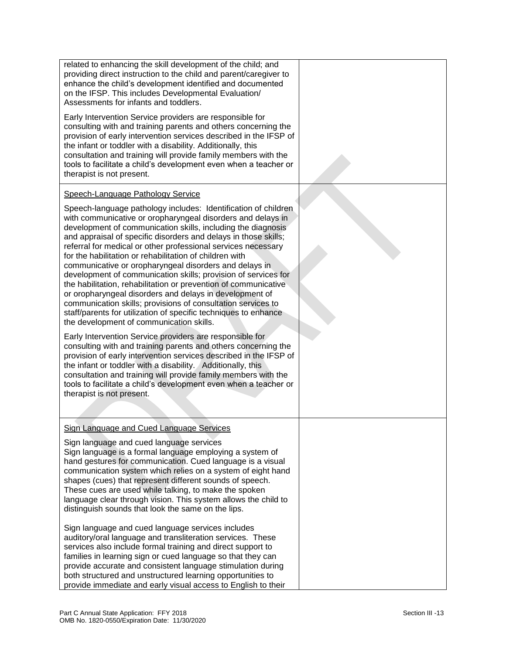| related to enhancing the skill development of the child; and<br>providing direct instruction to the child and parent/caregiver to<br>enhance the child's development identified and documented<br>on the IFSP. This includes Developmental Evaluation/<br>Assessments for infants and toddlers.                                                                                                                                                                                                                                                                                                                                                                                                                                                                                                                                       |  |
|---------------------------------------------------------------------------------------------------------------------------------------------------------------------------------------------------------------------------------------------------------------------------------------------------------------------------------------------------------------------------------------------------------------------------------------------------------------------------------------------------------------------------------------------------------------------------------------------------------------------------------------------------------------------------------------------------------------------------------------------------------------------------------------------------------------------------------------|--|
| Early Intervention Service providers are responsible for<br>consulting with and training parents and others concerning the<br>provision of early intervention services described in the IFSP of<br>the infant or toddler with a disability. Additionally, this<br>consultation and training will provide family members with the<br>tools to facilitate a child's development even when a teacher or<br>therapist is not present.                                                                                                                                                                                                                                                                                                                                                                                                     |  |
| Speech-Language Pathology Service                                                                                                                                                                                                                                                                                                                                                                                                                                                                                                                                                                                                                                                                                                                                                                                                     |  |
| Speech-language pathology includes: Identification of children<br>with communicative or oropharyngeal disorders and delays in<br>development of communication skills, including the diagnosis<br>and appraisal of specific disorders and delays in those skills;<br>referral for medical or other professional services necessary<br>for the habilitation or rehabilitation of children with<br>communicative or oropharyngeal disorders and delays in<br>development of communication skills; provision of services for<br>the habilitation, rehabilitation or prevention of communicative<br>or oropharyngeal disorders and delays in development of<br>communication skills; provisions of consultation services to<br>staff/parents for utilization of specific techniques to enhance<br>the development of communication skills. |  |
| Early Intervention Service providers are responsible for<br>consulting with and training parents and others concerning the<br>provision of early intervention services described in the IFSP of<br>the infant or toddler with a disability. Additionally, this<br>consultation and training will provide family members with the<br>tools to facilitate a child's development even when a teacher or<br>therapist is not present.                                                                                                                                                                                                                                                                                                                                                                                                     |  |
| <b>Sign Language and Cued Language Services</b>                                                                                                                                                                                                                                                                                                                                                                                                                                                                                                                                                                                                                                                                                                                                                                                       |  |
| Sign language and cued language services<br>Sign language is a formal language employing a system of<br>hand gestures for communication. Cued language is a visual<br>communication system which relies on a system of eight hand<br>shapes (cues) that represent different sounds of speech.<br>These cues are used while talking, to make the spoken<br>language clear through vision. This system allows the child to<br>distinguish sounds that look the same on the lips.                                                                                                                                                                                                                                                                                                                                                        |  |
| Sign language and cued language services includes<br>auditory/oral language and transliteration services. These<br>services also include formal training and direct support to<br>families in learning sign or cued language so that they can<br>provide accurate and consistent language stimulation during<br>both structured and unstructured learning opportunities to<br>provide immediate and early visual access to English to their                                                                                                                                                                                                                                                                                                                                                                                           |  |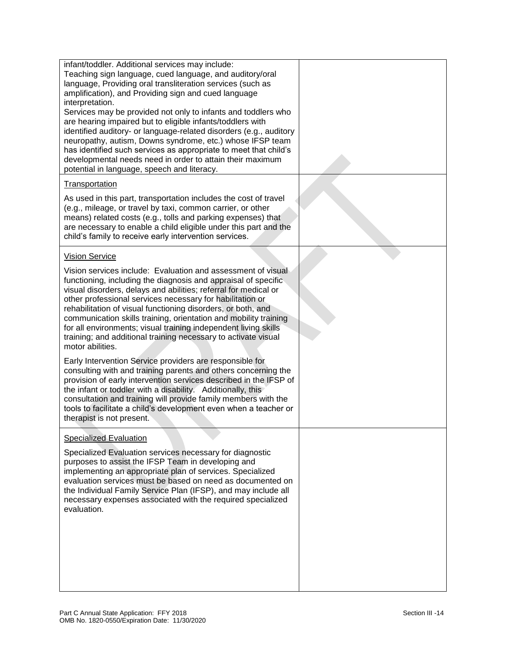| infant/toddler. Additional services may include:<br>Teaching sign language, cued language, and auditory/oral<br>language, Providing oral transliteration services (such as<br>amplification), and Providing sign and cued language<br>interpretation.<br>Services may be provided not only to infants and toddlers who<br>are hearing impaired but to eligible infants/toddlers with<br>identified auditory- or language-related disorders (e.g., auditory<br>neuropathy, autism, Downs syndrome, etc.) whose IFSP team<br>has identified such services as appropriate to meet that child's<br>developmental needs need in order to attain their maximum<br>potential in language, speech and literacy.                                                                                                                                                                                                                                                                                          |  |
|--------------------------------------------------------------------------------------------------------------------------------------------------------------------------------------------------------------------------------------------------------------------------------------------------------------------------------------------------------------------------------------------------------------------------------------------------------------------------------------------------------------------------------------------------------------------------------------------------------------------------------------------------------------------------------------------------------------------------------------------------------------------------------------------------------------------------------------------------------------------------------------------------------------------------------------------------------------------------------------------------|--|
| <b>Transportation</b>                                                                                                                                                                                                                                                                                                                                                                                                                                                                                                                                                                                                                                                                                                                                                                                                                                                                                                                                                                            |  |
| As used in this part, transportation includes the cost of travel<br>(e.g., mileage, or travel by taxi, common carrier, or other<br>means) related costs (e.g., tolls and parking expenses) that<br>are necessary to enable a child eligible under this part and the<br>child's family to receive early intervention services.                                                                                                                                                                                                                                                                                                                                                                                                                                                                                                                                                                                                                                                                    |  |
| <b>Vision Service</b>                                                                                                                                                                                                                                                                                                                                                                                                                                                                                                                                                                                                                                                                                                                                                                                                                                                                                                                                                                            |  |
| Vision services include: Evaluation and assessment of visual<br>functioning, including the diagnosis and appraisal of specific<br>visual disorders, delays and abilities; referral for medical or<br>other professional services necessary for habilitation or<br>rehabilitation of visual functioning disorders, or both, and<br>communication skills training, orientation and mobility training<br>for all environments; visual training independent living skills<br>training; and additional training necessary to activate visual<br>motor abilities.<br>Early Intervention Service providers are responsible for<br>consulting with and training parents and others concerning the<br>provision of early intervention services described in the IFSP of<br>the infant or toddler with a disability. Additionally, this<br>consultation and training will provide family members with the<br>tools to facilitate a child's development even when a teacher or<br>therapist is not present. |  |
| <b>Specialized Evaluation</b>                                                                                                                                                                                                                                                                                                                                                                                                                                                                                                                                                                                                                                                                                                                                                                                                                                                                                                                                                                    |  |
| Specialized Evaluation services necessary for diagnostic<br>purposes to assist the IFSP Team in developing and<br>implementing an appropriate plan of services. Specialized<br>evaluation services must be based on need as documented on<br>the Individual Family Service Plan (IFSP), and may include all<br>necessary expenses associated with the required specialized<br>evaluation.                                                                                                                                                                                                                                                                                                                                                                                                                                                                                                                                                                                                        |  |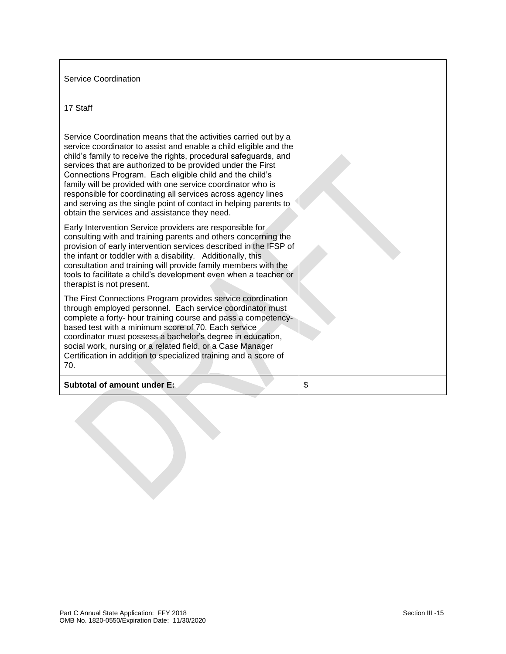#### Service Coordination

#### 17 Staff

Service Coordination means that the activities carried out by a service coordinator to assist and enable a child eligible and the child's family to receive the rights, procedural safeguards, and services that are authorized to be provided under the First Connections Program. Each eligible child and the child's family will be provided with one service coordinator who is responsible for coordinating all services across agency lines and serving as the single point of contact in helping parents to obtain the services and assistance they need.

Early Intervention Service providers are responsible for consulting with and training parents and others concerning the provision of early intervention services described in the IFSP of the infant or toddler with a disability. Additionally, this consultation and training will provide family members with the tools to facilitate a child's development even when a teacher or therapist is not present.

The First Connections Program provides service coordination through employed personnel. Each service coordinator must complete a forty- hour training course and pass a competencybased test with a minimum score of 70. Each service coordinator must possess a bachelor's degree in education, social work, nursing or a related field, or a Case Manager Certification in addition to specialized training and a score of 70.

#### **Subtotal of amount under E:** \$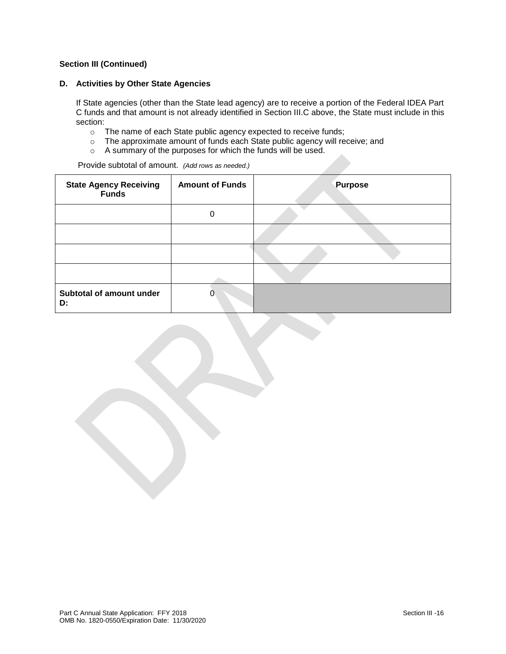#### **D. Activities by Other State Agencies**

If State agencies (other than the State lead agency) are to receive a portion of the Federal IDEA Part C funds and that amount is not already identified in Section III.C above, the State must include in this section:

- o The name of each State public agency expected to receive funds;
- o The approximate amount of funds each State public agency will receive; and
- o A summary of the purposes for which the funds will be used.

Provide subtotal of amount. *(Add rows as needed.)*

| <b>State Agency Receiving<br/>Funds</b> | <b>Amount of Funds</b> | <b>Purpose</b> |
|-----------------------------------------|------------------------|----------------|
|                                         | 0                      |                |
|                                         |                        |                |
|                                         |                        |                |
|                                         |                        |                |
| Subtotal of amount under<br>D:          | 0                      |                |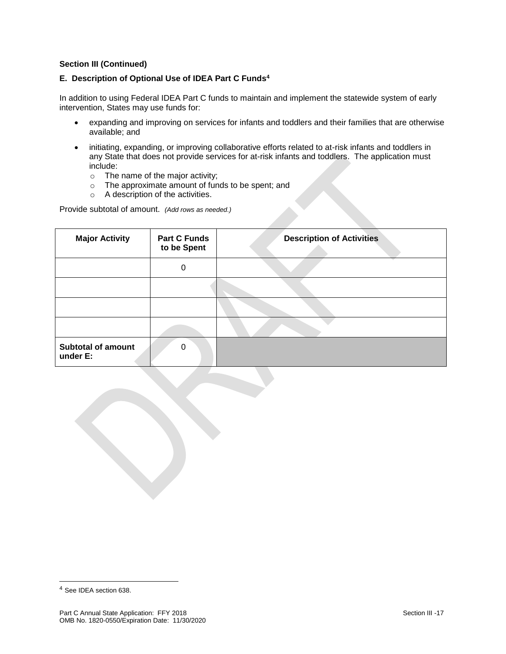### **E. Description of Optional Use of IDEA Part C Funds<sup>4</sup>**

In addition to using Federal IDEA Part C funds to maintain and implement the statewide system of early intervention, States may use funds for:

- expanding and improving on services for infants and toddlers and their families that are otherwise available; and
- initiating, expanding, or improving collaborative efforts related to at-risk infants and toddlers in any State that does not provide services for at-risk infants and toddlers. The application must include:
	- o The name of the major activity;
	- o The approximate amount of funds to be spent; and
	- o A description of the activities.

Provide subtotal of amount. *(Add rows as needed.)*

| <b>Major Activity</b>                 | <b>Part C Funds</b><br>to be Spent | <b>Description of Activities</b> |
|---------------------------------------|------------------------------------|----------------------------------|
|                                       | 0                                  |                                  |
|                                       |                                    |                                  |
|                                       |                                    |                                  |
|                                       |                                    |                                  |
| <b>Subtotal of amount</b><br>under E: | $\Omega$                           |                                  |

l

<sup>4</sup> See IDEA section 638.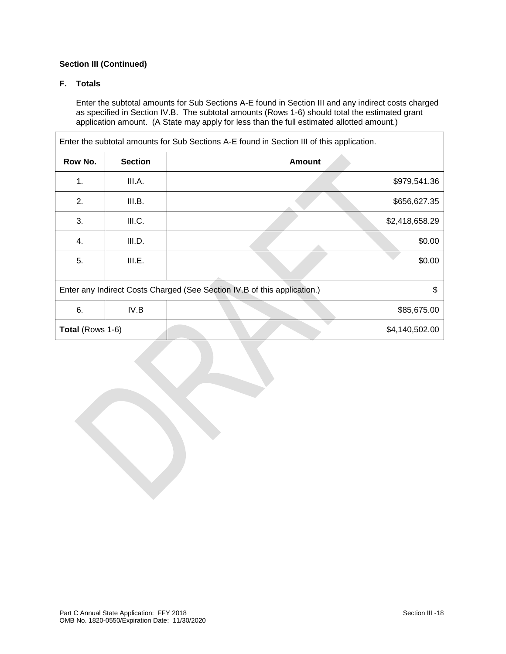# **F. Totals**

Enter the subtotal amounts for Sub Sections A-E found in Section III and any indirect costs charged as specified in Section IV.B. The subtotal amounts (Rows 1-6) should total the estimated grant application amount. (A State may apply for less than the full estimated allotted amount.)

| Enter the subtotal amounts for Sub Sections A-E found in Section III of this application. |                |               |                |  |
|-------------------------------------------------------------------------------------------|----------------|---------------|----------------|--|
| Row No.                                                                                   | <b>Section</b> | <b>Amount</b> |                |  |
| 1.                                                                                        | III.A.         |               | \$979,541.36   |  |
| 2.                                                                                        | III.B.         |               | \$656,627.35   |  |
| 3.                                                                                        | III.C.         |               | \$2,418,658.29 |  |
| 4.                                                                                        | III.D.         |               | \$0.00         |  |
| 5.                                                                                        | III.E.         |               | \$0.00         |  |
| Enter any Indirect Costs Charged (See Section IV.B of this application.)<br>\$            |                |               |                |  |
| 6.                                                                                        | IV.B           |               | \$85,675.00    |  |
| Total (Rows 1-6)                                                                          |                |               | \$4,140,502.00 |  |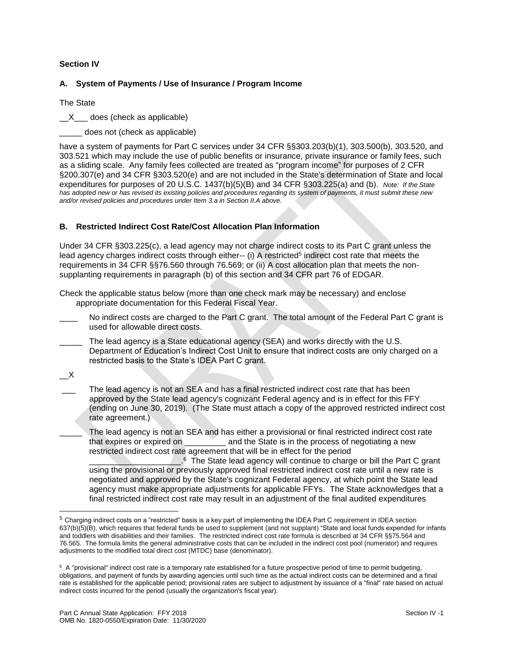# **Section IV**

### **A. System of Payments / Use of Insurance / Program Income**

The State

X does (check as applicable)

does not (check as applicable)

have a system of payments for Part C services under 34 CFR §§303.203(b)(1), 303.500(b), 303.520, and 303.521 which may include the use of public benefits or insurance, private insurance or family fees, such as a sliding scale. Any family fees collected are treated as "program income" for purposes of 2 CFR §200.307(e) and 34 CFR §303.520(e) and are not included in the State's determination of State and local expenditures for purposes of 20 U.S.C. 1437(b)(5)(B) and 34 CFR §303.225(a) and (b). *Note: If the State has adopted new or has revised its existing policies and procedures regarding its system of payments, it must submit these new and/or revised policies and procedures under Item 3.a in Section II.A above.*

#### **B. Restricted Indirect Cost Rate/Cost Allocation Plan Information**

Under 34 CFR §303.225(c), a lead agency may not charge indirect costs to its Part C grant unless the lead agency charges indirect costs through either-- (i) A restricted<sup>5</sup> indirect cost rate that meets the requirements in 34 CFR §§76.560 through 76.569; or (ii) A cost allocation plan that meets the nonsupplanting requirements in paragraph (b) of this section and 34 CFR part 76 of EDGAR.

Check the applicable status below (more than one check mark may be necessary) and enclose appropriate documentation for this Federal Fiscal Year.

- No indirect costs are charged to the Part C grant. The total amount of the Federal Part C grant is used for allowable direct costs.
- The lead agency is a State educational agency (SEA) and works directly with the U.S. Department of Education's Indirect Cost Unit to ensure that indirect costs are only charged on a restricted basis to the State's IDEA Part C grant.

 $\mathsf{X}_{-}$ 

l

The lead agency is not an SEA and has a final restricted indirect cost rate that has been approved by the State lead agency's cognizant Federal agency and is in effect for this FFY (ending on June 30, 2019). (The State must attach a copy of the approved restricted indirect cost rate agreement.)

The lead agency is not an SEA and has either a provisional or final restricted indirect cost rate that expires or expired on **the state is in the process of negotiating a new** restricted indirect cost rate agreement that will be in effect for the period

 $\overline{\phantom{a}}$  , where  $\overline{\phantom{a}}$ <sup>6</sup> The State lead agency will continue to charge or bill the Part C grant using the provisional or previously approved final restricted indirect cost rate until a new rate is negotiated and approved by the State's cognizant Federal agency, at which point the State lead agency must make appropriate adjustments for applicable FFYs. The State acknowledges that a final restricted indirect cost rate may result in an adjustment of the final audited expenditures

<sup>5</sup> Charging indirect costs on a "restricted" basis is a key part of implementing the IDEA Part C requirement in IDEA section 637(b)(5)(B), which requires that federal funds be used to supplement (and not supplant) "State and local funds expended for infants and toddlers with disabilities and their families. The restricted indirect cost rate formula is described at 34 CFR §§75.564 and 76.565. The formula limits the general administrative costs that can be included in the indirect cost pool (numerator) and requires adjustments to the modified total direct cost (MTDC) base (denominator).

 $6$  A "provisional" indirect cost rate is a temporary rate established for a future prospective period of time to permit budgeting, obligations, and payment of funds by awarding agencies until such time as the actual indirect costs can be determined and a final rate is established for the applicable period; provisional rates are subject to adjustment by issuance of a "final" rate based on actual indirect costs incurred for the period (usually the organization's fiscal year).